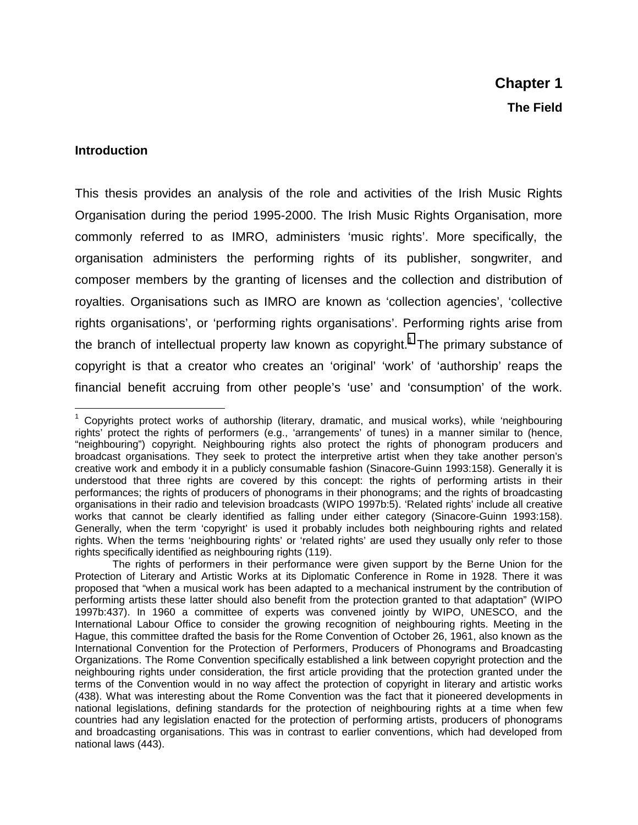#### **Introduction**

This thesis provides an analysis of the role and activities of the Irish Music Rights Organisation during the period 1995-2000. The Irish Music Rights Organisation, more commonly referred to as IMRO, administers 'music rights'. More specifically, the organisation administers the performing rights of its publisher, songwriter, and composer members by the granting of licenses and the collection and distribution of royalties. Organisations such as IMRO are known as 'collection agencies', 'collective rights organisations', or 'performing rights organisations'. Performing rights arise from the branch of intellectual property law known as copyright.<sup>1</sup> The primary substance of copyright is that a creator who creates an 'original' 'work' of 'authorship' reaps the financial benefit accruing from other people's 'use' and 'consumption' of the work.

 $\overline{a}$ <sup>1</sup> Copyrights protect works of authorship (literary, dramatic, and musical works), while 'neighbouring rights' protect the rights of performers (e.g., 'arrangements' of tunes) in a manner similar to (hence, "neighbouring") copyright. Neighbouring rights also protect the rights of phonogram producers and broadcast organisations. They seek to protect the interpretive artist when they take another person's creative work and embody it in a publicly consumable fashion (Sinacore-Guinn 1993:158). Generally it is understood that three rights are covered by this concept: the rights of performing artists in their performances; the rights of producers of phonograms in their phonograms; and the rights of broadcasting organisations in their radio and television broadcasts (WIPO 1997b:5). 'Related rights' include all creative works that cannot be clearly identified as falling under either category (Sinacore-Guinn 1993:158). Generally, when the term 'copyright' is used it probably includes both neighbouring rights and related rights. When the terms 'neighbouring rights' or 'related rights' are used they usually only refer to those rights specifically identified as neighbouring rights (119).

The rights of performers in their performance were given support by the Berne Union for the Protection of Literary and Artistic Works at its Diplomatic Conference in Rome in 1928. There it was proposed that "when a musical work has been adapted to a mechanical instrument by the contribution of performing artists these latter should also benefit from the protection granted to that adaptation" (WIPO 1997b:437). In 1960 a committee of experts was convened jointly by WIPO, UNESCO, and the International Labour Office to consider the growing recognition of neighbouring rights. Meeting in the Hague, this committee drafted the basis for the Rome Convention of October 26, 1961, also known as the International Convention for the Protection of Performers, Producers of Phonograms and Broadcasting Organizations. The Rome Convention specifically established a link between copyright protection and the neighbouring rights under consideration, the first article providing that the protection granted under the terms of the Convention would in no way affect the protection of copyright in literary and artistic works (438). What was interesting about the Rome Convention was the fact that it pioneered developments in national legislations, defining standards for the protection of neighbouring rights at a time when few countries had any legislation enacted for the protection of performing artists, producers of phonograms and broadcasting organisations. This was in contrast to earlier conventions, which had developed from national laws (443).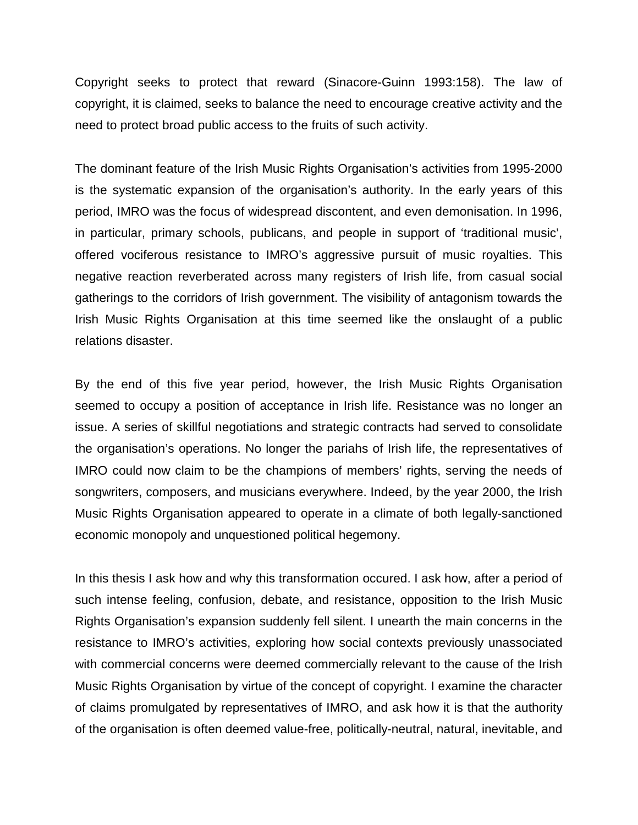Copyright seeks to protect that reward (Sinacore-Guinn 1993:158). The law of copyright, it is claimed, seeks to balance the need to encourage creative activity and the need to protect broad public access to the fruits of such activity.

The dominant feature of the Irish Music Rights Organisation's activities from 1995-2000 is the systematic expansion of the organisation's authority. In the early years of this period, IMRO was the focus of widespread discontent, and even demonisation. In 1996, in particular, primary schools, publicans, and people in support of 'traditional music', offered vociferous resistance to IMRO's aggressive pursuit of music royalties. This negative reaction reverberated across many registers of Irish life, from casual social gatherings to the corridors of Irish government. The visibility of antagonism towards the Irish Music Rights Organisation at this time seemed like the onslaught of a public relations disaster.

By the end of this five year period, however, the Irish Music Rights Organisation seemed to occupy a position of acceptance in Irish life. Resistance was no longer an issue. A series of skillful negotiations and strategic contracts had served to consolidate the organisation's operations. No longer the pariahs of Irish life, the representatives of IMRO could now claim to be the champions of members' rights, serving the needs of songwriters, composers, and musicians everywhere. Indeed, by the year 2000, the Irish Music Rights Organisation appeared to operate in a climate of both legally-sanctioned economic monopoly and unquestioned political hegemony.

In this thesis I ask how and why this transformation occured. I ask how, after a period of such intense feeling, confusion, debate, and resistance, opposition to the Irish Music Rights Organisation's expansion suddenly fell silent. I unearth the main concerns in the resistance to IMRO's activities, exploring how social contexts previously unassociated with commercial concerns were deemed commercially relevant to the cause of the Irish Music Rights Organisation by virtue of the concept of copyright. I examine the character of claims promulgated by representatives of IMRO, and ask how it is that the authority of the organisation is often deemed value-free, politically-neutral, natural, inevitable, and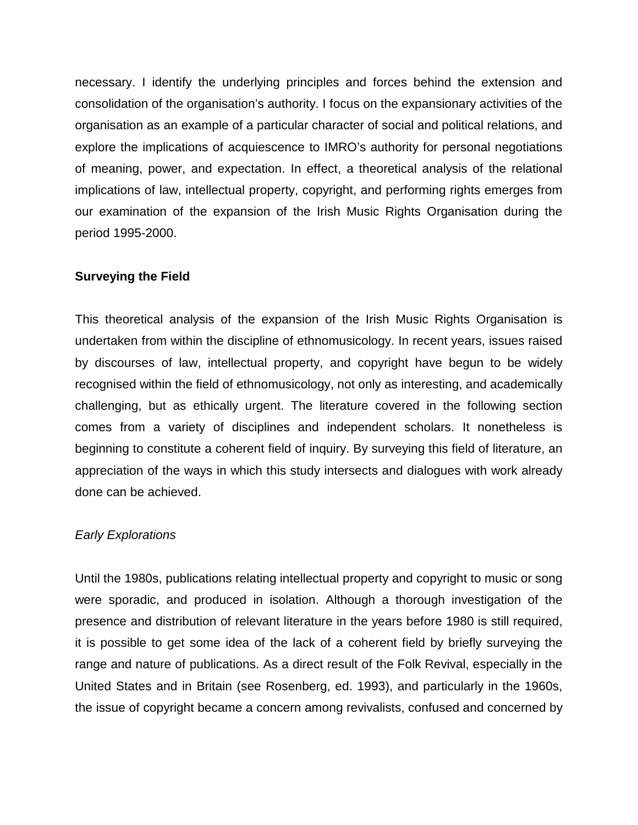necessary. I identify the underlying principles and forces behind the extension and consolidation of the organisation's authority. I focus on the expansionary activities of the organisation as an example of a particular character of social and political relations, and explore the implications of acquiescence to IMRO's authority for personal negotiations of meaning, power, and expectation. In effect, a theoretical analysis of the relational implications of law, intellectual property, copyright, and performing rights emerges from our examination of the expansion of the Irish Music Rights Organisation during the period 1995-2000.

### **Surveying the Field**

This theoretical analysis of the expansion of the Irish Music Rights Organisation is undertaken from within the discipline of ethnomusicology. In recent years, issues raised by discourses of law, intellectual property, and copyright have begun to be widely recognised within the field of ethnomusicology, not only as interesting, and academically challenging, but as ethically urgent. The literature covered in the following section comes from a variety of disciplines and independent scholars. It nonetheless is beginning to constitute a coherent field of inquiry. By surveying this field of literature, an appreciation of the ways in which this study intersects and dialogues with work already done can be achieved.

## *Early Explorations*

Until the 1980s, publications relating intellectual property and copyright to music or song were sporadic, and produced in isolation. Although a thorough investigation of the presence and distribution of relevant literature in the years before 1980 is still required, it is possible to get some idea of the lack of a coherent field by briefly surveying the range and nature of publications. As a direct result of the Folk Revival, especially in the United States and in Britain (see Rosenberg, ed. 1993), and particularly in the 1960s, the issue of copyright became a concern among revivalists, confused and concerned by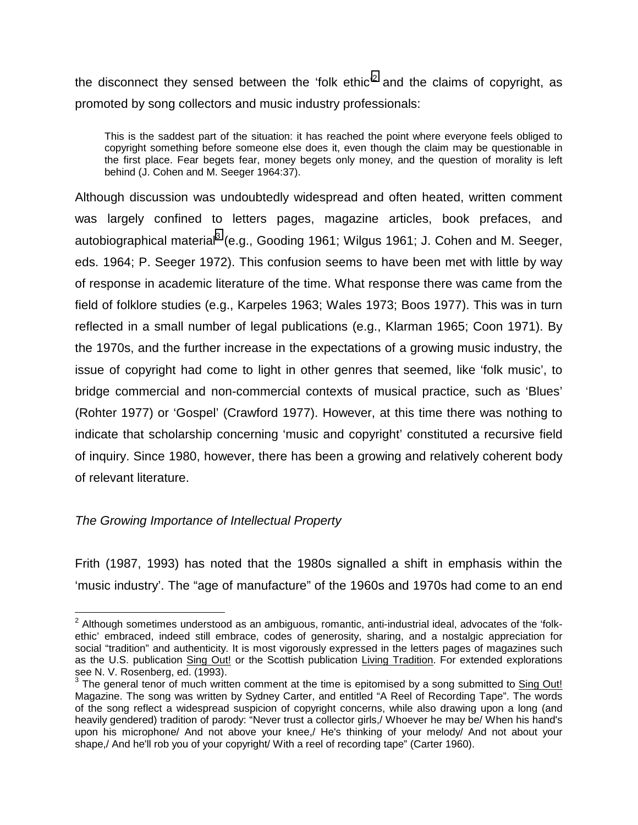the disconnect they sensed between the 'folk ethic'<sup>2</sup> and the claims of copyright, as promoted by song collectors and music industry professionals:

This is the saddest part of the situation: it has reached the point where everyone feels obliged to copyright something before someone else does it, even though the claim may be questionable in the first place. Fear begets fear, money begets only money, and the question of morality is left behind (J. Cohen and M. Seeger 1964:37).

Although discussion was undoubtedly widespread and often heated, written comment was largely confined to letters pages, magazine articles, book prefaces, and autobiographical material<sup>3</sup> (e.g., Gooding 1961; Wilgus 1961; J. Cohen and M. Seeger, eds. 1964; P. Seeger 1972). This confusion seems to have been met with little by way of response in academic literature of the time. What response there was came from the field of folklore studies (e.g., Karpeles 1963; Wales 1973; Boos 1977). This was in turn reflected in a small number of legal publications (e.g., Klarman 1965; Coon 1971). By the 1970s, and the further increase in the expectations of a growing music industry, the issue of copyright had come to light in other genres that seemed, like 'folk music', to bridge commercial and non-commercial contexts of musical practice, such as 'Blues' (Rohter 1977) or 'Gospel' (Crawford 1977). However, at this time there was nothing to indicate that scholarship concerning 'music and copyright' constituted a recursive field of inquiry. Since 1980, however, there has been a growing and relatively coherent body of relevant literature.

## *The Growing Importance of Intellectual Property*

1

Frith (1987, 1993) has noted that the 1980s signalled a shift in emphasis within the 'music industry'. The "age of manufacture" of the 1960s and 1970s had come to an end

 $^{2}$  Although sometimes understood as an ambiguous, romantic, anti-industrial ideal, advocates of the 'folkethic' embraced, indeed still embrace, codes of generosity, sharing, and a nostalgic appreciation for social "tradition" and authenticity. It is most vigorously expressed in the letters pages of magazines such as the U.S. publication Sing Out! or the Scottish publication Living Tradition. For extended explorations see N. V. Rosenberg, ed. (1993).

 $3$  The general tenor of much written comment at the time is epitomised by a song submitted to  $\underline{\text{Sing Out!}}$ Magazine. The song was written by Sydney Carter, and entitled "A Reel of Recording Tape". The words of the song reflect a widespread suspicion of copyright concerns, while also drawing upon a long (and heavily gendered) tradition of parody: "Never trust a collector girls,/ Whoever he may be/ When his hand's upon his microphone/ And not above your knee,/ He's thinking of your melody/ And not about your shape,/ And he'll rob you of your copyright/ With a reel of recording tape" (Carter 1960).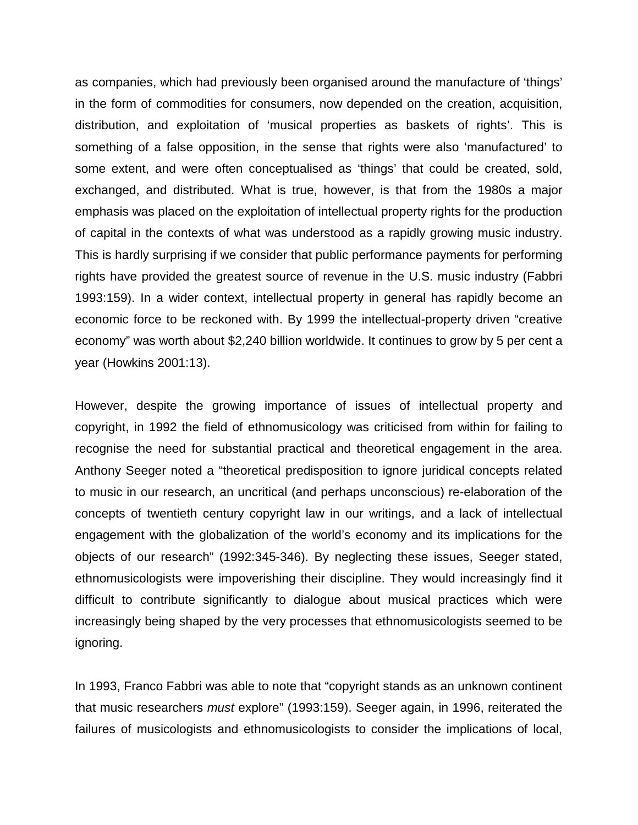as companies, which had previously been organised around the manufacture of 'things' in the form of commodities for consumers, now depended on the creation, acquisition, distribution, and exploitation of 'musical properties as baskets of rights'. This is something of a false opposition, in the sense that rights were also 'manufactured' to some extent, and were often conceptualised as 'things' that could be created, sold, exchanged, and distributed. What is true, however, is that from the 1980s a major emphasis was placed on the exploitation of intellectual property rights for the production of capital in the contexts of what was understood as a rapidly growing music industry. This is hardly surprising if we consider that public performance payments for performing rights have provided the greatest source of revenue in the U.S. music industry (Fabbri 1993:159). In a wider context, intellectual property in general has rapidly become an economic force to be reckoned with. By 1999 the intellectual-property driven "creative economy" was worth about \$2,240 billion worldwide. It continues to grow by 5 per cent a year (Howkins 2001:13).

However, despite the growing importance of issues of intellectual property and copyright, in 1992 the field of ethnomusicology was criticised from within for failing to recognise the need for substantial practical and theoretical engagement in the area. Anthony Seeger noted a "theoretical predisposition to ignore juridical concepts related to music in our research, an uncritical (and perhaps unconscious) re-elaboration of the concepts of twentieth century copyright law in our writings, and a lack of intellectual engagement with the globalization of the world's economy and its implications for the objects of our research" (1992:345-346). By neglecting these issues, Seeger stated, ethnomusicologists were impoverishing their discipline. They would increasingly find it difficult to contribute significantly to dialogue about musical practices which were increasingly being shaped by the very processes that ethnomusicologists seemed to be ignoring.

In 1993, Franco Fabbri was able to note that "copyright stands as an unknown continent that music researchers *must* explore" (1993:159). Seeger again, in 1996, reiterated the failures of musicologists and ethnomusicologists to consider the implications of local,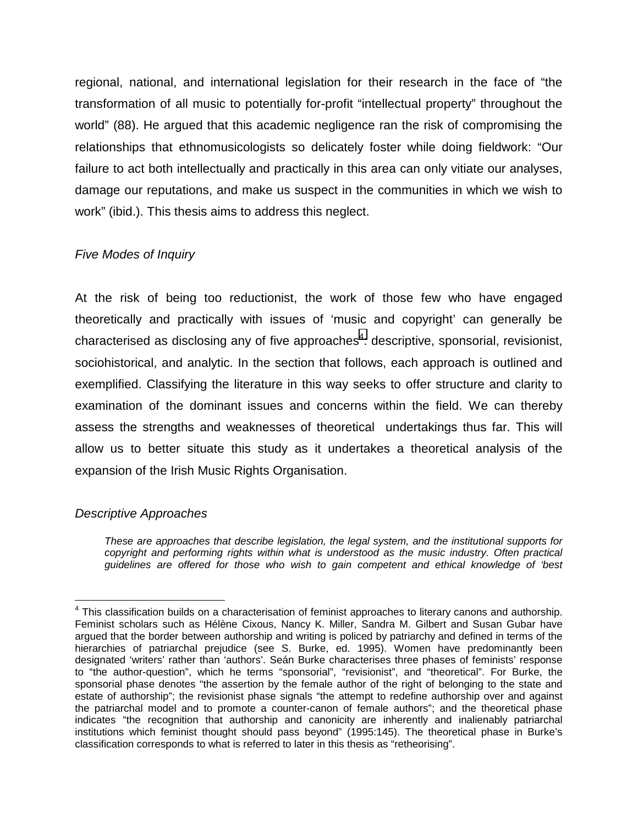regional, national, and international legislation for their research in the face of "the transformation of all music to potentially for-profit "intellectual property" throughout the world" (88). He argued that this academic negligence ran the risk of compromising the relationships that ethnomusicologists so delicately foster while doing fieldwork: "Our failure to act both intellectually and practically in this area can only vitiate our analyses, damage our reputations, and make us suspect in the communities in which we wish to work" (ibid.). This thesis aims to address this neglect.

# *Five Modes of Inquiry*

At the risk of being too reductionist, the work of those few who have engaged theoretically and practically with issues of 'music and copyright' can generally be characterised as disclosing any of five approaches<sup>4</sup>: descriptive, sponsorial, revisionist, sociohistorical, and analytic. In the section that follows, each approach is outlined and exemplified. Classifying the literature in this way seeks to offer structure and clarity to examination of the dominant issues and concerns within the field. We can thereby assess the strengths and weaknesses of theoretical undertakings thus far. This will allow us to better situate this study as it undertakes a theoretical analysis of the expansion of the Irish Music Rights Organisation.

## *Descriptive Approaches*

 $\overline{a}$ 

*These are approaches that describe legislation, the legal system, and the institutional supports for copyright and performing rights within what is understood as the music industry. Often practical guidelines are offered for those who wish to gain competent and ethical knowledge of 'best* 

 $4$  This classification builds on a characterisation of feminist approaches to literary canons and authorship. Feminist scholars such as Hélène Cixous, Nancy K. Miller, Sandra M. Gilbert and Susan Gubar have argued that the border between authorship and writing is policed by patriarchy and defined in terms of the hierarchies of patriarchal prejudice (see S. Burke, ed. 1995). Women have predominantly been designated 'writers' rather than 'authors'. Seán Burke characterises three phases of feminists' response to "the author-question", which he terms "sponsorial", "revisionist", and "theoretical". For Burke, the sponsorial phase denotes "the assertion by the female author of the right of belonging to the state and estate of authorship"; the revisionist phase signals "the attempt to redefine authorship over and against the patriarchal model and to promote a counter-canon of female authors"; and the theoretical phase indicates "the recognition that authorship and canonicity are inherently and inalienably patriarchal institutions which feminist thought should pass beyond" (1995:145). The theoretical phase in Burke's classification corresponds to what is referred to later in this thesis as "retheorising".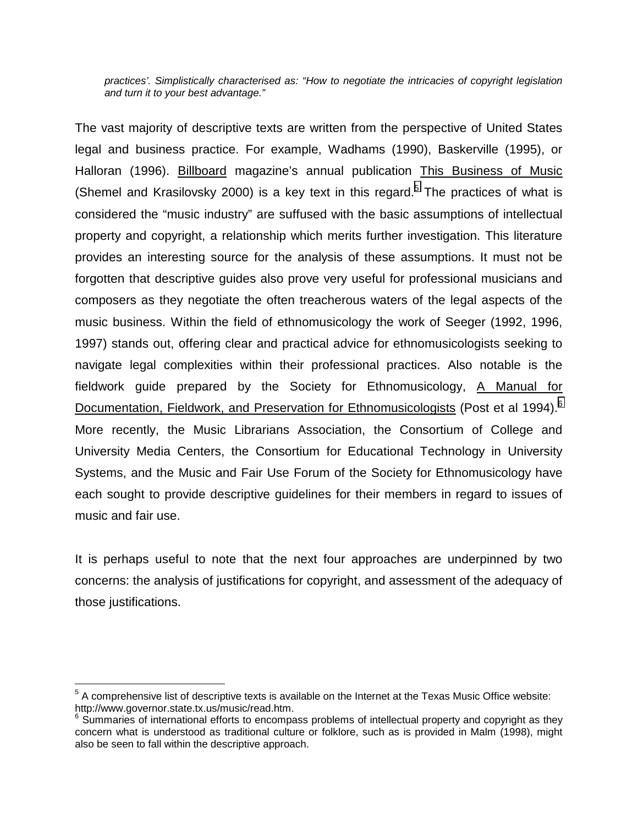*practices'. Simplistically characterised as: "How to negotiate the intricacies of copyright legislation and turn it to your best advantage."* 

The vast majority of descriptive texts are written from the perspective of United States legal and business practice. For example, Wadhams (1990), Baskerville (1995), or Halloran (1996). Billboard magazine's annual publication This Business of Music (Shemel and Krasilovsky 2000) is a key text in this regard.<sup>5</sup> The practices of what is considered the "music industry" are suffused with the basic assumptions of intellectual property and copyright, a relationship which merits further investigation. This literature provides an interesting source for the analysis of these assumptions. It must not be forgotten that descriptive guides also prove very useful for professional musicians and composers as they negotiate the often treacherous waters of the legal aspects of the music business. Within the field of ethnomusicology the work of Seeger (1992, 1996, 1997) stands out, offering clear and practical advice for ethnomusicologists seeking to navigate legal complexities within their professional practices. Also notable is the fieldwork guide prepared by the Society for Ethnomusicology, A Manual for Documentation, Fieldwork, and Preservation for Ethnomusicologists (Post et al 1994).<sup>6</sup> More recently, the Music Librarians Association, the Consortium of College and University Media Centers, the Consortium for Educational Technology in University Systems, and the Music and Fair Use Forum of the Society for Ethnomusicology have each sought to provide descriptive guidelines for their members in regard to issues of music and fair use.

It is perhaps useful to note that the next four approaches are underpinned by two concerns: the analysis of justifications for copyright, and assessment of the adequacy of those justifications.

 $\overline{a}$ 

 $5$  A comprehensive list of descriptive texts is available on the Internet at the Texas Music Office website: http://www.governor.state.tx.us/music/read.htm.

 $6$  Summaries of international efforts to encompass problems of intellectual property and copyright as they concern what is understood as traditional culture or folklore, such as is provided in Malm (1998), might also be seen to fall within the descriptive approach.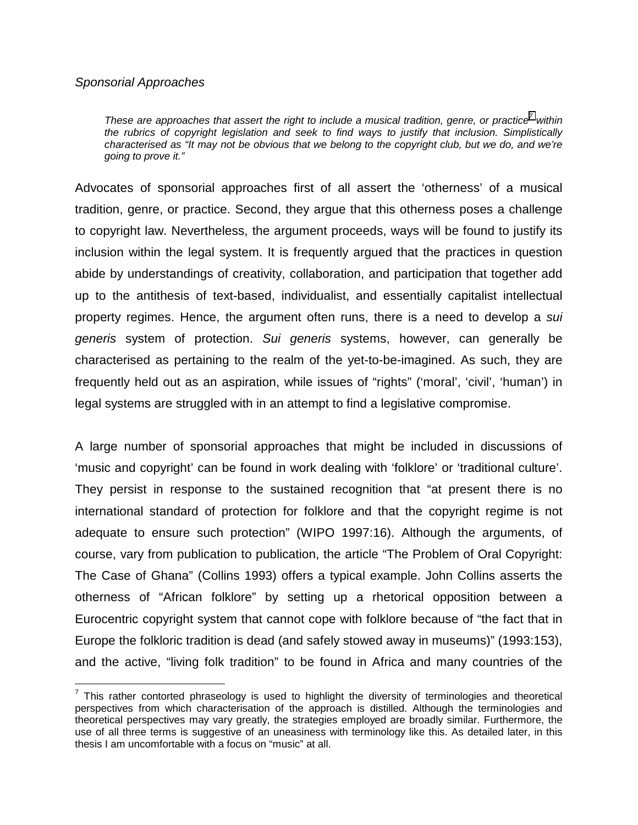### *Sponsorial Approaches*

 $\overline{a}$ 

*These are approaches that assert the right to include a musical tradition, genre, or practice<sup>7</sup> within the rubrics of copyright legislation and seek to find ways to justify that inclusion. Simplistically characterised as "It may not be obvious that we belong to the copyright club, but we do, and we're going to prove it."* 

Advocates of sponsorial approaches first of all assert the 'otherness' of a musical tradition, genre, or practice. Second, they argue that this otherness poses a challenge to copyright law. Nevertheless, the argument proceeds, ways will be found to justify its inclusion within the legal system. It is frequently argued that the practices in question abide by understandings of creativity, collaboration, and participation that together add up to the antithesis of text-based, individualist, and essentially capitalist intellectual property regimes. Hence, the argument often runs, there is a need to develop a *sui generis* system of protection. *Sui generis* systems, however, can generally be characterised as pertaining to the realm of the yet-to-be-imagined. As such, they are frequently held out as an aspiration, while issues of "rights" ('moral', 'civil', 'human') in legal systems are struggled with in an attempt to find a legislative compromise.

A large number of sponsorial approaches that might be included in discussions of 'music and copyright' can be found in work dealing with 'folklore' or 'traditional culture'. They persist in response to the sustained recognition that "at present there is no international standard of protection for folklore and that the copyright regime is not adequate to ensure such protection" (WIPO 1997:16). Although the arguments, of course, vary from publication to publication, the article "The Problem of Oral Copyright: The Case of Ghana" (Collins 1993) offers a typical example. John Collins asserts the otherness of "African folklore" by setting up a rhetorical opposition between a Eurocentric copyright system that cannot cope with folklore because of "the fact that in Europe the folkloric tradition is dead (and safely stowed away in museums)" (1993:153), and the active, "living folk tradition" to be found in Africa and many countries of the

 $7$  This rather contorted phraseology is used to highlight the diversity of terminologies and theoretical perspectives from which characterisation of the approach is distilled. Although the terminologies and theoretical perspectives may vary greatly, the strategies employed are broadly similar. Furthermore, the use of all three terms is suggestive of an uneasiness with terminology like this. As detailed later, in this thesis I am uncomfortable with a focus on "music" at all.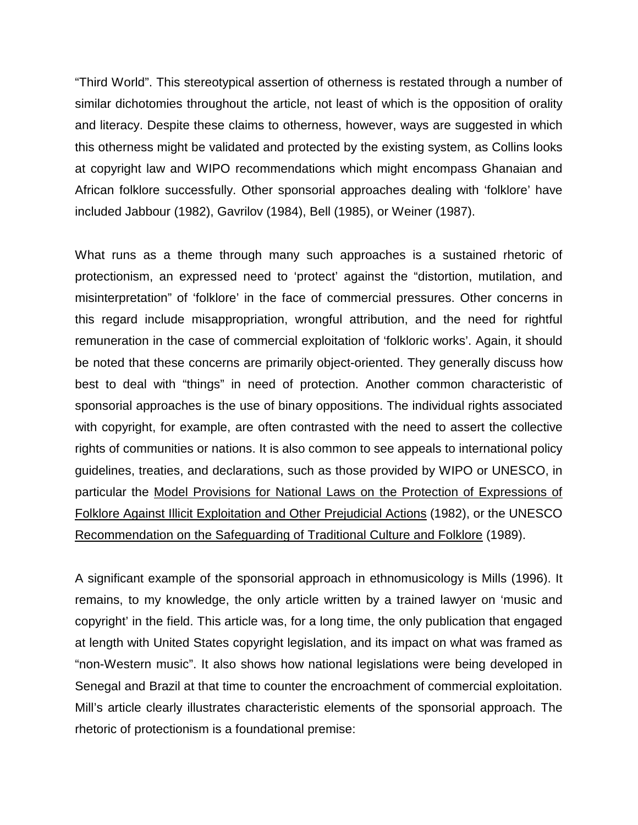"Third World". This stereotypical assertion of otherness is restated through a number of similar dichotomies throughout the article, not least of which is the opposition of orality and literacy. Despite these claims to otherness, however, ways are suggested in which this otherness might be validated and protected by the existing system, as Collins looks at copyright law and WIPO recommendations which might encompass Ghanaian and African folklore successfully. Other sponsorial approaches dealing with 'folklore' have included Jabbour (1982), Gavrilov (1984), Bell (1985), or Weiner (1987).

What runs as a theme through many such approaches is a sustained rhetoric of protectionism, an expressed need to 'protect' against the "distortion, mutilation, and misinterpretation" of 'folklore' in the face of commercial pressures. Other concerns in this regard include misappropriation, wrongful attribution, and the need for rightful remuneration in the case of commercial exploitation of 'folkloric works'. Again, it should be noted that these concerns are primarily object-oriented. They generally discuss how best to deal with "things" in need of protection. Another common characteristic of sponsorial approaches is the use of binary oppositions. The individual rights associated with copyright, for example, are often contrasted with the need to assert the collective rights of communities or nations. It is also common to see appeals to international policy guidelines, treaties, and declarations, such as those provided by WIPO or UNESCO, in particular the Model Provisions for National Laws on the Protection of Expressions of Folklore Against Illicit Exploitation and Other Prejudicial Actions (1982), or the UNESCO Recommendation on the Safeguarding of Traditional Culture and Folklore (1989).

A significant example of the sponsorial approach in ethnomusicology is Mills (1996). It remains, to my knowledge, the only article written by a trained lawyer on 'music and copyright' in the field. This article was, for a long time, the only publication that engaged at length with United States copyright legislation, and its impact on what was framed as "non-Western music". It also shows how national legislations were being developed in Senegal and Brazil at that time to counter the encroachment of commercial exploitation. Mill's article clearly illustrates characteristic elements of the sponsorial approach. The rhetoric of protectionism is a foundational premise: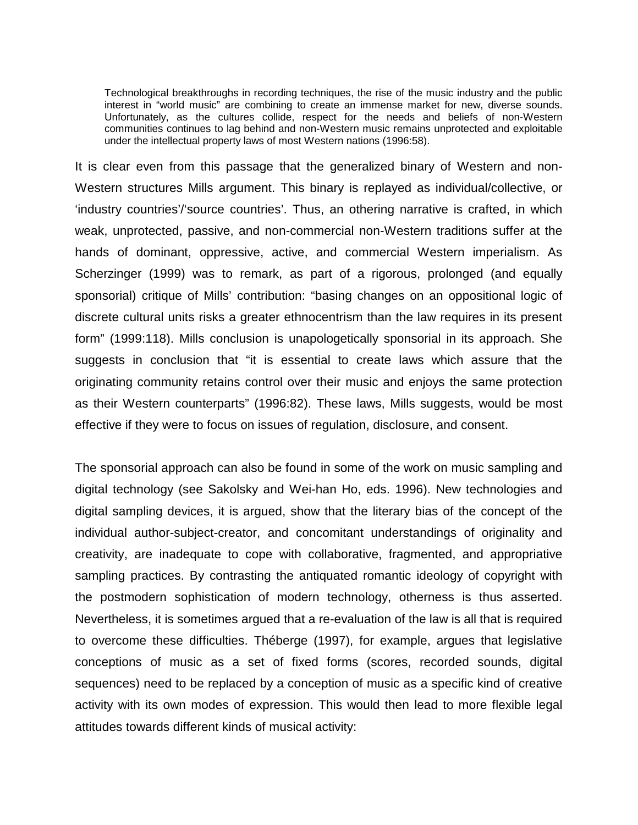Technological breakthroughs in recording techniques, the rise of the music industry and the public interest in "world music" are combining to create an immense market for new, diverse sounds. Unfortunately, as the cultures collide, respect for the needs and beliefs of non-Western communities continues to lag behind and non-Western music remains unprotected and exploitable under the intellectual property laws of most Western nations (1996:58).

It is clear even from this passage that the generalized binary of Western and non-Western structures Mills argument. This binary is replayed as individual/collective, or 'industry countries'/'source countries'. Thus, an othering narrative is crafted, in which weak, unprotected, passive, and non-commercial non-Western traditions suffer at the hands of dominant, oppressive, active, and commercial Western imperialism. As Scherzinger (1999) was to remark, as part of a rigorous, prolonged (and equally sponsorial) critique of Mills' contribution: "basing changes on an oppositional logic of discrete cultural units risks a greater ethnocentrism than the law requires in its present form" (1999:118). Mills conclusion is unapologetically sponsorial in its approach. She suggests in conclusion that "it is essential to create laws which assure that the originating community retains control over their music and enjoys the same protection as their Western counterparts" (1996:82). These laws, Mills suggests, would be most effective if they were to focus on issues of regulation, disclosure, and consent.

The sponsorial approach can also be found in some of the work on music sampling and digital technology (see Sakolsky and Wei-han Ho, eds. 1996). New technologies and digital sampling devices, it is argued, show that the literary bias of the concept of the individual author-subject-creator, and concomitant understandings of originality and creativity, are inadequate to cope with collaborative, fragmented, and appropriative sampling practices. By contrasting the antiquated romantic ideology of copyright with the postmodern sophistication of modern technology, otherness is thus asserted. Nevertheless, it is sometimes argued that a re-evaluation of the law is all that is required to overcome these difficulties. Théberge (1997), for example, argues that legislative conceptions of music as a set of fixed forms (scores, recorded sounds, digital sequences) need to be replaced by a conception of music as a specific kind of creative activity with its own modes of expression. This would then lead to more flexible legal attitudes towards different kinds of musical activity: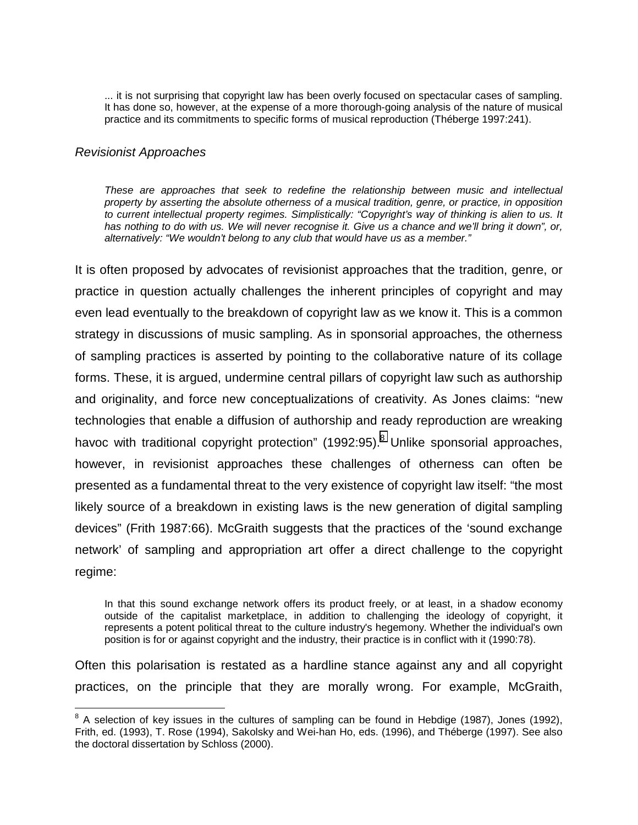... it is not surprising that copyright law has been overly focused on spectacular cases of sampling. It has done so, however, at the expense of a more thorough-going analysis of the nature of musical practice and its commitments to specific forms of musical reproduction (Théberge 1997:241).

#### *Revisionist Approaches*

 $\overline{a}$ 

*These are approaches that seek to redefine the relationship between music and intellectual property by asserting the absolute otherness of a musical tradition, genre, or practice, in opposition to current intellectual property regimes. Simplistically: "Copyright's way of thinking is alien to us. It has nothing to do with us. We will never recognise it. Give us a chance and we'll bring it down", or, alternatively: "We wouldn't belong to any club that would have us as a member."* 

It is often proposed by advocates of revisionist approaches that the tradition, genre, or practice in question actually challenges the inherent principles of copyright and may even lead eventually to the breakdown of copyright law as we know it. This is a common strategy in discussions of music sampling. As in sponsorial approaches, the otherness of sampling practices is asserted by pointing to the collaborative nature of its collage forms. These, it is argued, undermine central pillars of copyright law such as authorship and originality, and force new conceptualizations of creativity. As Jones claims: "new technologies that enable a diffusion of authorship and ready reproduction are wreaking havoc with traditional copyright protection" (1992:95).<sup>8</sup> Unlike sponsorial approaches, however, in revisionist approaches these challenges of otherness can often be presented as a fundamental threat to the very existence of copyright law itself: "the most likely source of a breakdown in existing laws is the new generation of digital sampling devices" (Frith 1987:66). McGraith suggests that the practices of the 'sound exchange network' of sampling and appropriation art offer a direct challenge to the copyright regime:

In that this sound exchange network offers its product freely, or at least, in a shadow economy outside of the capitalist marketplace, in addition to challenging the ideology of copyright, it represents a potent political threat to the culture industry's hegemony. Whether the individual's own position is for or against copyright and the industry, their practice is in conflict with it (1990:78).

Often this polarisation is restated as a hardline stance against any and all copyright practices, on the principle that they are morally wrong. For example, McGraith,

 $8$  A selection of key issues in the cultures of sampling can be found in Hebdige (1987), Jones (1992), Frith, ed. (1993), T. Rose (1994), Sakolsky and Wei-han Ho, eds. (1996), and Théberge (1997). See also the doctoral dissertation by Schloss (2000).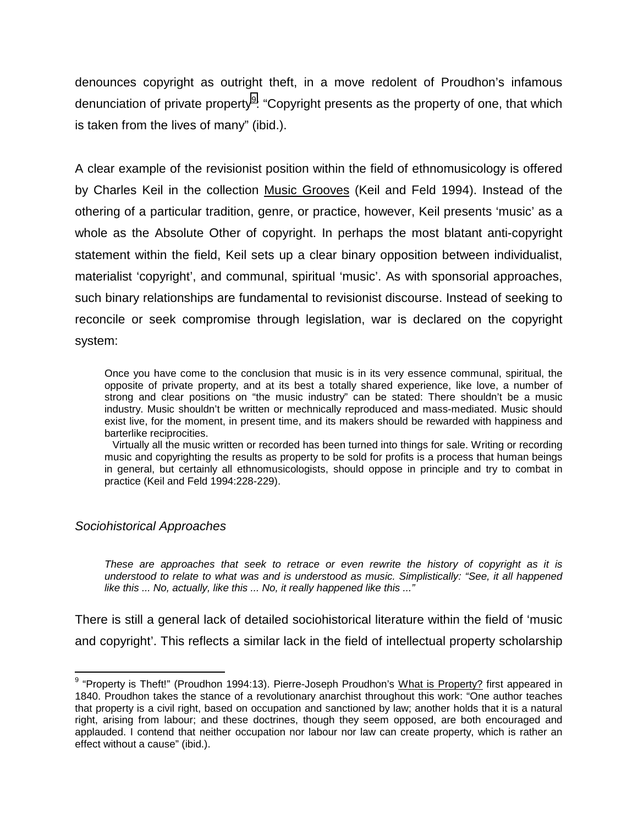denounces copyright as outright theft, in a move redolent of Proudhon's infamous denunciation of private property<sup>9</sup>: "Copyright presents as the property of one, that which is taken from the lives of many" (ibid.).

A clear example of the revisionist position within the field of ethnomusicology is offered by Charles Keil in the collection Music Grooves (Keil and Feld 1994). Instead of the othering of a particular tradition, genre, or practice, however, Keil presents 'music' as a whole as the Absolute Other of copyright. In perhaps the most blatant anti-copyright statement within the field, Keil sets up a clear binary opposition between individualist, materialist 'copyright', and communal, spiritual 'music'. As with sponsorial approaches, such binary relationships are fundamental to revisionist discourse. Instead of seeking to reconcile or seek compromise through legislation, war is declared on the copyright system:

Once you have come to the conclusion that music is in its very essence communal, spiritual, the opposite of private property, and at its best a totally shared experience, like love, a number of strong and clear positions on "the music industry" can be stated: There shouldn't be a music industry. Music shouldn't be written or mechnically reproduced and mass-mediated. Music should exist live, for the moment, in present time, and its makers should be rewarded with happiness and barterlike reciprocities.

 Virtually all the music written or recorded has been turned into things for sale. Writing or recording music and copyrighting the results as property to be sold for profits is a process that human beings in general, but certainly all ethnomusicologists, should oppose in principle and try to combat in practice (Keil and Feld 1994:228-229).

## *Sociohistorical Approaches*

*These are approaches that seek to retrace or even rewrite the history of copyright as it is understood to relate to what was and is understood as music. Simplistically: "See, it all happened like this ... No, actually, like this ... No, it really happened like this ..."* 

There is still a general lack of detailed sociohistorical literature within the field of 'music and copyright'. This reflects a similar lack in the field of intellectual property scholarship

 9 "Property is Theft!" (Proudhon 1994:13). Pierre-Joseph Proudhon's What is Property? first appeared in 1840. Proudhon takes the stance of a revolutionary anarchist throughout this work: "One author teaches that property is a civil right, based on occupation and sanctioned by law; another holds that it is a natural right, arising from labour; and these doctrines, though they seem opposed, are both encouraged and applauded. I contend that neither occupation nor labour nor law can create property, which is rather an effect without a cause" (ibid.).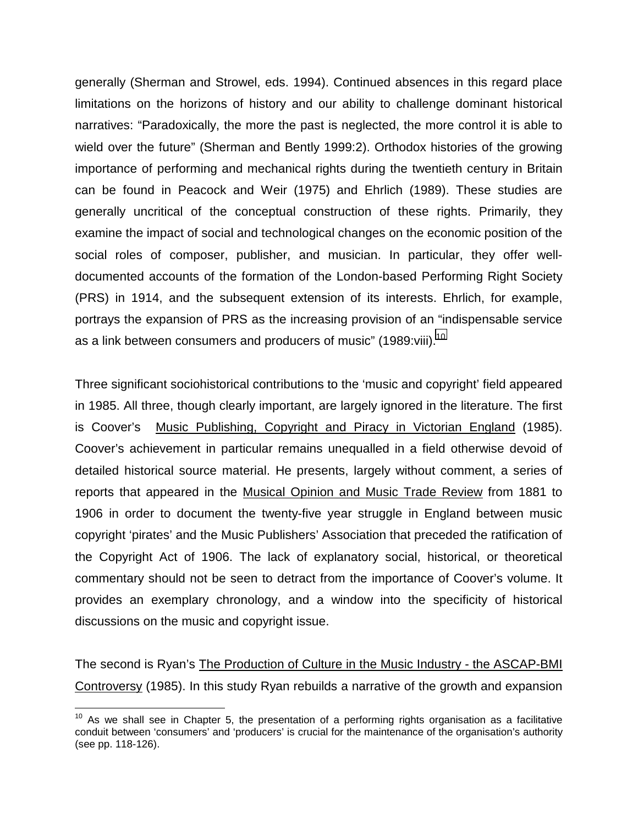generally (Sherman and Strowel, eds. 1994). Continued absences in this regard place limitations on the horizons of history and our ability to challenge dominant historical narratives: "Paradoxically, the more the past is neglected, the more control it is able to wield over the future" (Sherman and Bently 1999:2). Orthodox histories of the growing importance of performing and mechanical rights during the twentieth century in Britain can be found in Peacock and Weir (1975) and Ehrlich (1989). These studies are generally uncritical of the conceptual construction of these rights. Primarily, they examine the impact of social and technological changes on the economic position of the social roles of composer, publisher, and musician. In particular, they offer welldocumented accounts of the formation of the London-based Performing Right Society (PRS) in 1914, and the subsequent extension of its interests. Ehrlich, for example, portrays the expansion of PRS as the increasing provision of an "indispensable service as a link between consumers and producers of music" (1989:viii).<sup>10</sup>

Three significant sociohistorical contributions to the 'music and copyright' field appeared in 1985. All three, though clearly important, are largely ignored in the literature. The first is Coover's Music Publishing, Copyright and Piracy in Victorian England (1985). Coover's achievement in particular remains unequalled in a field otherwise devoid of detailed historical source material. He presents, largely without comment, a series of reports that appeared in the Musical Opinion and Music Trade Review from 1881 to 1906 in order to document the twenty-five year struggle in England between music copyright 'pirates' and the Music Publishers' Association that preceded the ratification of the Copyright Act of 1906. The lack of explanatory social, historical, or theoretical commentary should not be seen to detract from the importance of Coover's volume. It provides an exemplary chronology, and a window into the specificity of historical discussions on the music and copyright issue.

The second is Ryan's The Production of Culture in the Music Industry - the ASCAP-BMI Controversy (1985). In this study Ryan rebuilds a narrative of the growth and expansion

 $\overline{a}$  $10$  As we shall see in Chapter 5, the presentation of a performing rights organisation as a facilitative conduit between 'consumers' and 'producers' is crucial for the maintenance of the organisation's authority (see pp. 118-126).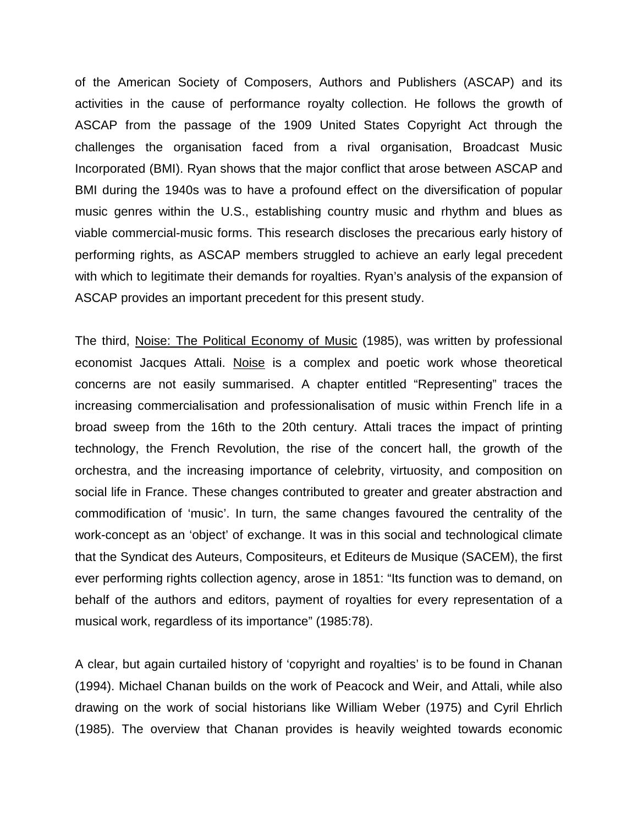of the American Society of Composers, Authors and Publishers (ASCAP) and its activities in the cause of performance royalty collection. He follows the growth of ASCAP from the passage of the 1909 United States Copyright Act through the challenges the organisation faced from a rival organisation, Broadcast Music Incorporated (BMI). Ryan shows that the major conflict that arose between ASCAP and BMI during the 1940s was to have a profound effect on the diversification of popular music genres within the U.S., establishing country music and rhythm and blues as viable commercial-music forms. This research discloses the precarious early history of performing rights, as ASCAP members struggled to achieve an early legal precedent with which to legitimate their demands for royalties. Ryan's analysis of the expansion of ASCAP provides an important precedent for this present study.

The third, Noise: The Political Economy of Music (1985), was written by professional economist Jacques Attali. Noise is a complex and poetic work whose theoretical concerns are not easily summarised. A chapter entitled "Representing" traces the increasing commercialisation and professionalisation of music within French life in a broad sweep from the 16th to the 20th century. Attali traces the impact of printing technology, the French Revolution, the rise of the concert hall, the growth of the orchestra, and the increasing importance of celebrity, virtuosity, and composition on social life in France. These changes contributed to greater and greater abstraction and commodification of 'music'. In turn, the same changes favoured the centrality of the work-concept as an 'object' of exchange. It was in this social and technological climate that the Syndicat des Auteurs, Compositeurs, et Editeurs de Musique (SACEM), the first ever performing rights collection agency, arose in 1851: "Its function was to demand, on behalf of the authors and editors, payment of royalties for every representation of a musical work, regardless of its importance" (1985:78).

A clear, but again curtailed history of 'copyright and royalties' is to be found in Chanan (1994). Michael Chanan builds on the work of Peacock and Weir, and Attali, while also drawing on the work of social historians like William Weber (1975) and Cyril Ehrlich (1985). The overview that Chanan provides is heavily weighted towards economic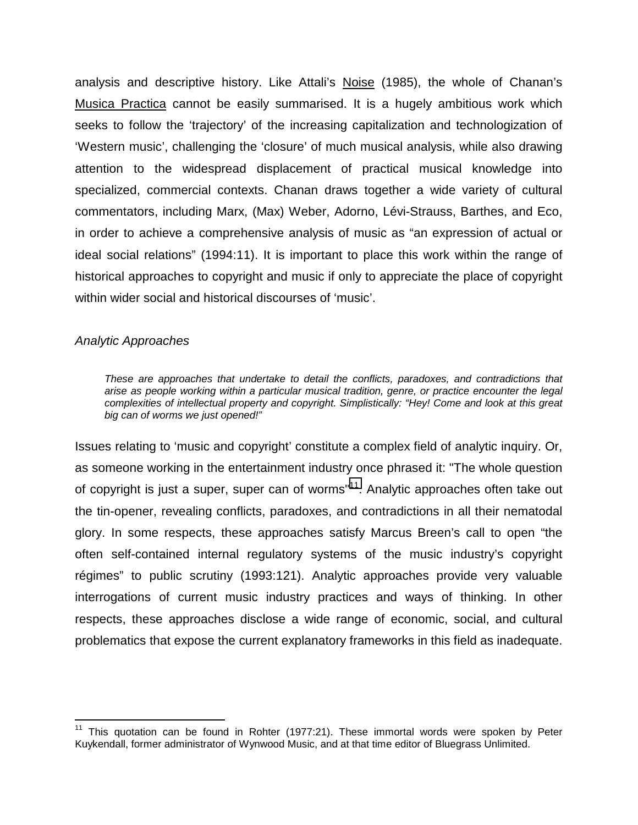analysis and descriptive history. Like Attali's Noise (1985), the whole of Chanan's Musica Practica cannot be easily summarised. It is a hugely ambitious work which seeks to follow the 'trajectory' of the increasing capitalization and technologization of 'Western music', challenging the 'closure' of much musical analysis, while also drawing attention to the widespread displacement of practical musical knowledge into specialized, commercial contexts. Chanan draws together a wide variety of cultural commentators, including Marx, (Max) Weber, Adorno, Lévi-Strauss, Barthes, and Eco, in order to achieve a comprehensive analysis of music as "an expression of actual or ideal social relations" (1994:11). It is important to place this work within the range of historical approaches to copyright and music if only to appreciate the place of copyright within wider social and historical discourses of 'music'.

### *Analytic Approaches*

1

*These are approaches that undertake to detail the conflicts, paradoxes, and contradictions that arise as people working within a particular musical tradition, genre, or practice encounter the legal complexities of intellectual property and copyright. Simplistically: "Hey! Come and look at this great big can of worms we just opened!"* 

Issues relating to 'music and copyright' constitute a complex field of analytic inquiry. Or, as someone working in the entertainment industry once phrased it: "The whole question of copyright is just a super, super can of worms<sup>"11</sup>. Analytic approaches often take out the tin-opener, revealing conflicts, paradoxes, and contradictions in all their nematodal glory. In some respects, these approaches satisfy Marcus Breen's call to open "the often self-contained internal regulatory systems of the music industry's copyright régimes" to public scrutiny (1993:121). Analytic approaches provide very valuable interrogations of current music industry practices and ways of thinking. In other respects, these approaches disclose a wide range of economic, social, and cultural problematics that expose the current explanatory frameworks in this field as inadequate.

<sup>&</sup>lt;sup>11</sup> This quotation can be found in Rohter (1977:21). These immortal words were spoken by Peter Kuykendall, former administrator of Wynwood Music, and at that time editor of Bluegrass Unlimited.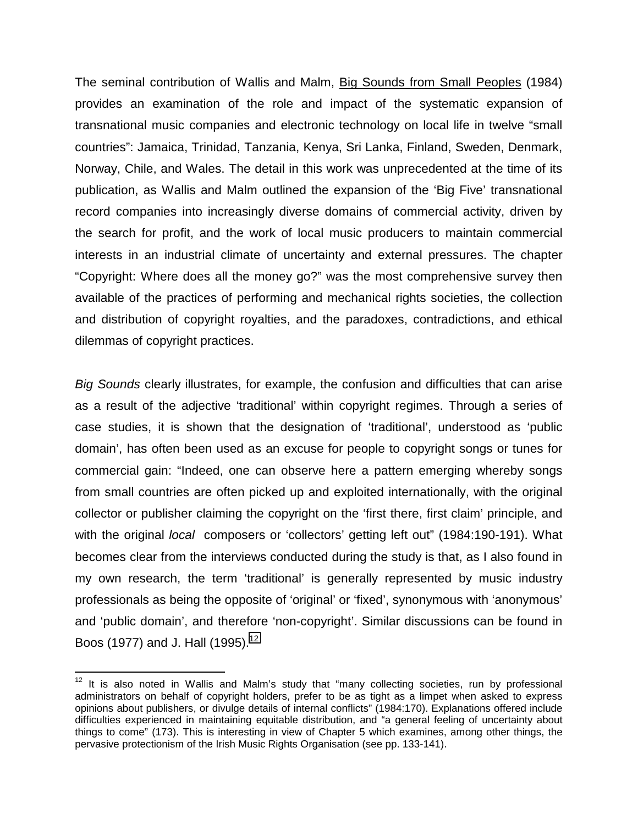The seminal contribution of Wallis and Malm, Big Sounds from Small Peoples (1984) provides an examination of the role and impact of the systematic expansion of transnational music companies and electronic technology on local life in twelve "small countries": Jamaica, Trinidad, Tanzania, Kenya, Sri Lanka, Finland, Sweden, Denmark, Norway, Chile, and Wales. The detail in this work was unprecedented at the time of its publication, as Wallis and Malm outlined the expansion of the 'Big Five' transnational record companies into increasingly diverse domains of commercial activity, driven by the search for profit, and the work of local music producers to maintain commercial interests in an industrial climate of uncertainty and external pressures. The chapter "Copyright: Where does all the money go?" was the most comprehensive survey then available of the practices of performing and mechanical rights societies, the collection and distribution of copyright royalties, and the paradoxes, contradictions, and ethical dilemmas of copyright practices.

*Big Sounds* clearly illustrates, for example, the confusion and difficulties that can arise as a result of the adjective 'traditional' within copyright regimes. Through a series of case studies, it is shown that the designation of 'traditional', understood as 'public domain', has often been used as an excuse for people to copyright songs or tunes for commercial gain: "Indeed, one can observe here a pattern emerging whereby songs from small countries are often picked up and exploited internationally, with the original collector or publisher claiming the copyright on the 'first there, first claim' principle, and with the original *local* composers or 'collectors' getting left out" (1984:190-191). What becomes clear from the interviews conducted during the study is that, as I also found in my own research, the term 'traditional' is generally represented by music industry professionals as being the opposite of 'original' or 'fixed', synonymous with 'anonymous' and 'public domain', and therefore 'non-copyright'. Similar discussions can be found in Boos (1977) and J. Hall (1995).<sup>12</sup>

 $\overline{a}$ 

 $12$  It is also noted in Wallis and Malm's study that "many collecting societies, run by professional administrators on behalf of copyright holders, prefer to be as tight as a limpet when asked to express opinions about publishers, or divulge details of internal conflicts" (1984:170). Explanations offered include difficulties experienced in maintaining equitable distribution, and "a general feeling of uncertainty about things to come" (173). This is interesting in view of Chapter 5 which examines, among other things, the pervasive protectionism of the Irish Music Rights Organisation (see pp. 133-141).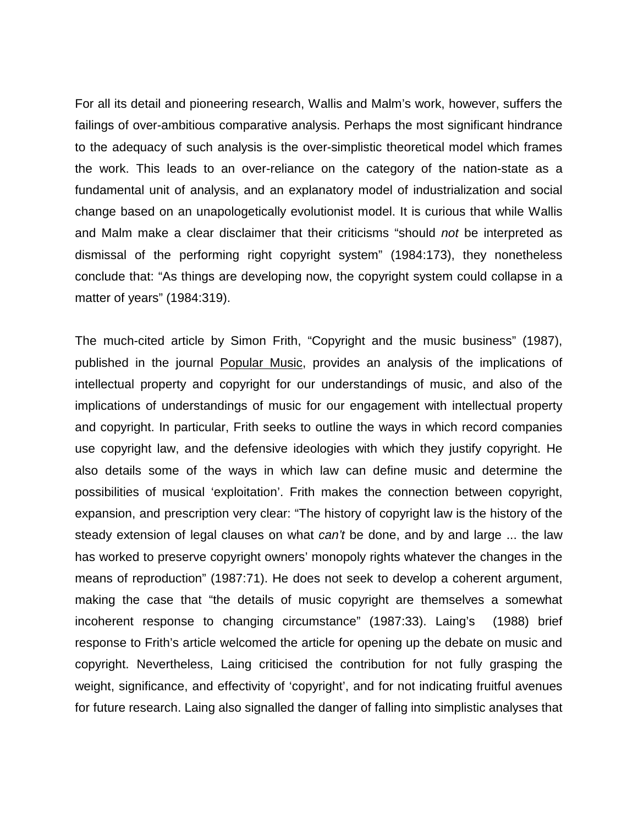For all its detail and pioneering research, Wallis and Malm's work, however, suffers the failings of over-ambitious comparative analysis. Perhaps the most significant hindrance to the adequacy of such analysis is the over-simplistic theoretical model which frames the work. This leads to an over-reliance on the category of the nation-state as a fundamental unit of analysis, and an explanatory model of industrialization and social change based on an unapologetically evolutionist model. It is curious that while Wallis and Malm make a clear disclaimer that their criticisms "should *not* be interpreted as dismissal of the performing right copyright system" (1984:173), they nonetheless conclude that: "As things are developing now, the copyright system could collapse in a matter of years" (1984:319).

The much-cited article by Simon Frith, "Copyright and the music business" (1987), published in the journal Popular Music, provides an analysis of the implications of intellectual property and copyright for our understandings of music, and also of the implications of understandings of music for our engagement with intellectual property and copyright. In particular, Frith seeks to outline the ways in which record companies use copyright law, and the defensive ideologies with which they justify copyright. He also details some of the ways in which law can define music and determine the possibilities of musical 'exploitation'. Frith makes the connection between copyright, expansion, and prescription very clear: "The history of copyright law is the history of the steady extension of legal clauses on what *can't* be done, and by and large ... the law has worked to preserve copyright owners' monopoly rights whatever the changes in the means of reproduction" (1987:71). He does not seek to develop a coherent argument, making the case that "the details of music copyright are themselves a somewhat incoherent response to changing circumstance" (1987:33). Laing's (1988) brief response to Frith's article welcomed the article for opening up the debate on music and copyright. Nevertheless, Laing criticised the contribution for not fully grasping the weight, significance, and effectivity of 'copyright', and for not indicating fruitful avenues for future research. Laing also signalled the danger of falling into simplistic analyses that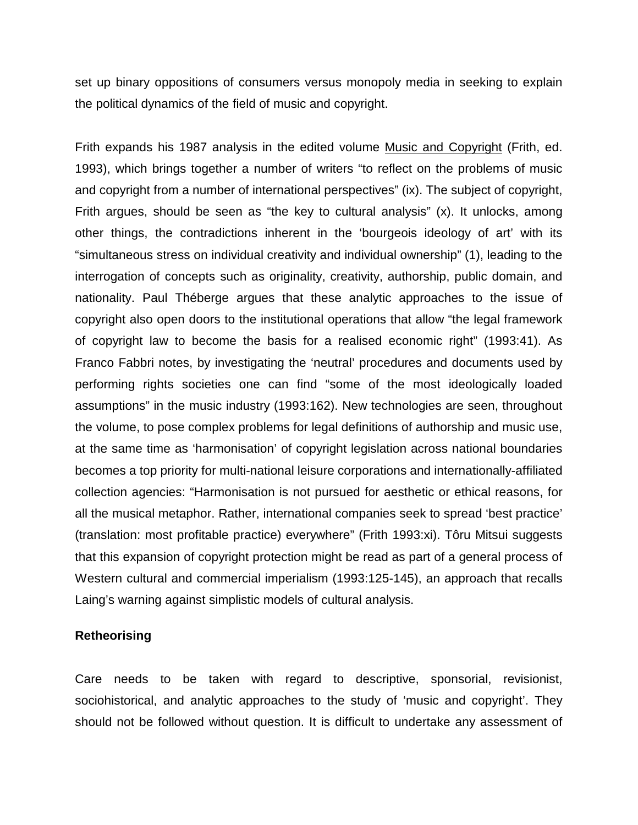set up binary oppositions of consumers versus monopoly media in seeking to explain the political dynamics of the field of music and copyright.

Frith expands his 1987 analysis in the edited volume Music and Copyright (Frith, ed. 1993), which brings together a number of writers "to reflect on the problems of music and copyright from a number of international perspectives" (ix). The subject of copyright, Frith argues, should be seen as "the key to cultural analysis" (x). It unlocks, among other things, the contradictions inherent in the 'bourgeois ideology of art' with its "simultaneous stress on individual creativity and individual ownership" (1), leading to the interrogation of concepts such as originality, creativity, authorship, public domain, and nationality. Paul Théberge argues that these analytic approaches to the issue of copyright also open doors to the institutional operations that allow "the legal framework of copyright law to become the basis for a realised economic right" (1993:41). As Franco Fabbri notes, by investigating the 'neutral' procedures and documents used by performing rights societies one can find "some of the most ideologically loaded assumptions" in the music industry (1993:162). New technologies are seen, throughout the volume, to pose complex problems for legal definitions of authorship and music use, at the same time as 'harmonisation' of copyright legislation across national boundaries becomes a top priority for multi-national leisure corporations and internationally-affiliated collection agencies: "Harmonisation is not pursued for aesthetic or ethical reasons, for all the musical metaphor. Rather, international companies seek to spread 'best practice' (translation: most profitable practice) everywhere" (Frith 1993:xi). Tôru Mitsui suggests that this expansion of copyright protection might be read as part of a general process of Western cultural and commercial imperialism (1993:125-145), an approach that recalls Laing's warning against simplistic models of cultural analysis.

### **Retheorising**

Care needs to be taken with regard to descriptive, sponsorial, revisionist, sociohistorical, and analytic approaches to the study of 'music and copyright'. They should not be followed without question. It is difficult to undertake any assessment of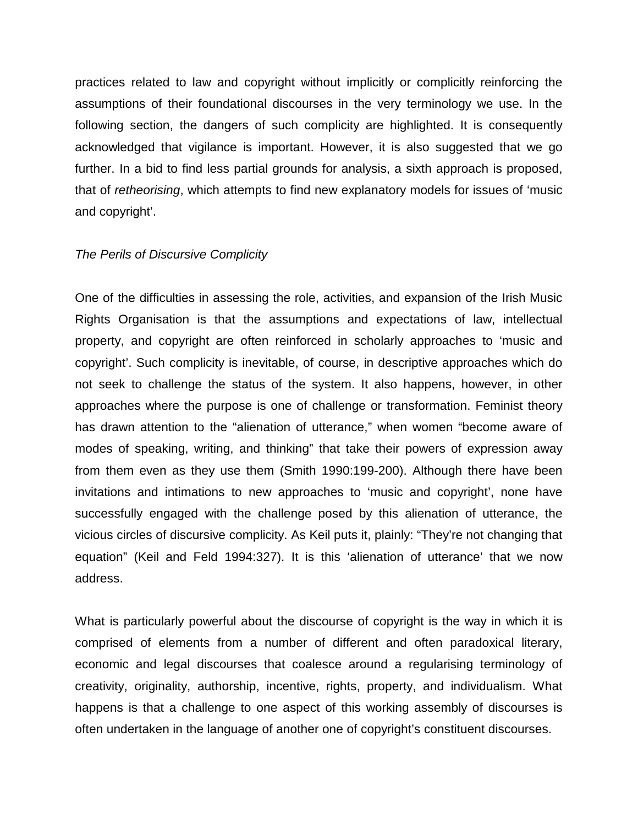practices related to law and copyright without implicitly or complicitly reinforcing the assumptions of their foundational discourses in the very terminology we use. In the following section, the dangers of such complicity are highlighted. It is consequently acknowledged that vigilance is important. However, it is also suggested that we go further. In a bid to find less partial grounds for analysis, a sixth approach is proposed, that of *retheorising*, which attempts to find new explanatory models for issues of 'music and copyright'.

#### *The Perils of Discursive Complicity*

One of the difficulties in assessing the role, activities, and expansion of the Irish Music Rights Organisation is that the assumptions and expectations of law, intellectual property, and copyright are often reinforced in scholarly approaches to 'music and copyright'. Such complicity is inevitable, of course, in descriptive approaches which do not seek to challenge the status of the system. It also happens, however, in other approaches where the purpose is one of challenge or transformation. Feminist theory has drawn attention to the "alienation of utterance," when women "become aware of modes of speaking, writing, and thinking" that take their powers of expression away from them even as they use them (Smith 1990:199-200). Although there have been invitations and intimations to new approaches to 'music and copyright', none have successfully engaged with the challenge posed by this alienation of utterance, the vicious circles of discursive complicity. As Keil puts it, plainly: "They're not changing that equation" (Keil and Feld 1994:327). It is this 'alienation of utterance' that we now address.

What is particularly powerful about the discourse of copyright is the way in which it is comprised of elements from a number of different and often paradoxical literary, economic and legal discourses that coalesce around a regularising terminology of creativity, originality, authorship, incentive, rights, property, and individualism. What happens is that a challenge to one aspect of this working assembly of discourses is often undertaken in the language of another one of copyright's constituent discourses.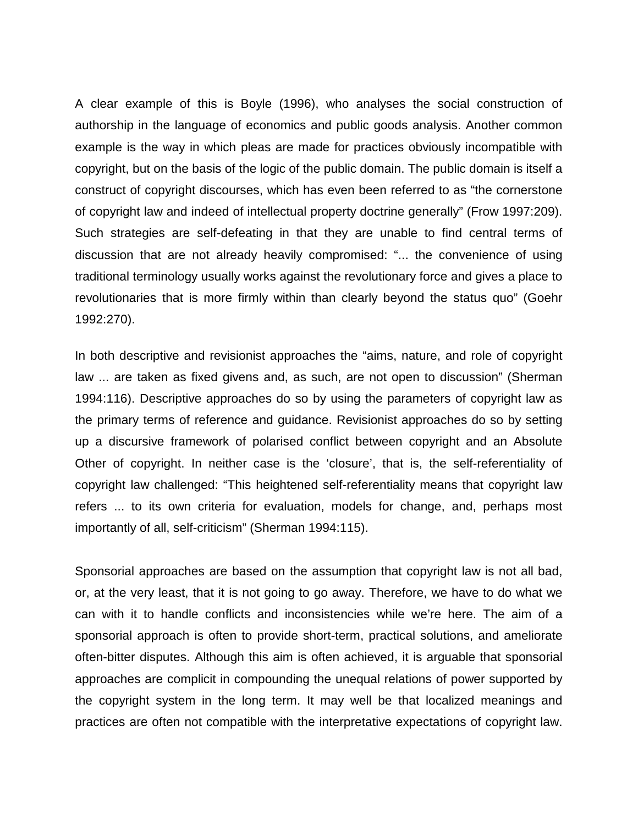A clear example of this is Boyle (1996), who analyses the social construction of authorship in the language of economics and public goods analysis. Another common example is the way in which pleas are made for practices obviously incompatible with copyright, but on the basis of the logic of the public domain. The public domain is itself a construct of copyright discourses, which has even been referred to as "the cornerstone of copyright law and indeed of intellectual property doctrine generally" (Frow 1997:209). Such strategies are self-defeating in that they are unable to find central terms of discussion that are not already heavily compromised: "... the convenience of using traditional terminology usually works against the revolutionary force and gives a place to revolutionaries that is more firmly within than clearly beyond the status quo" (Goehr 1992:270).

In both descriptive and revisionist approaches the "aims, nature, and role of copyright law ... are taken as fixed givens and, as such, are not open to discussion" (Sherman 1994:116). Descriptive approaches do so by using the parameters of copyright law as the primary terms of reference and guidance. Revisionist approaches do so by setting up a discursive framework of polarised conflict between copyright and an Absolute Other of copyright. In neither case is the 'closure', that is, the self-referentiality of copyright law challenged: "This heightened self-referentiality means that copyright law refers ... to its own criteria for evaluation, models for change, and, perhaps most importantly of all, self-criticism" (Sherman 1994:115).

Sponsorial approaches are based on the assumption that copyright law is not all bad, or, at the very least, that it is not going to go away. Therefore, we have to do what we can with it to handle conflicts and inconsistencies while we're here. The aim of a sponsorial approach is often to provide short-term, practical solutions, and ameliorate often-bitter disputes. Although this aim is often achieved, it is arguable that sponsorial approaches are complicit in compounding the unequal relations of power supported by the copyright system in the long term. It may well be that localized meanings and practices are often not compatible with the interpretative expectations of copyright law.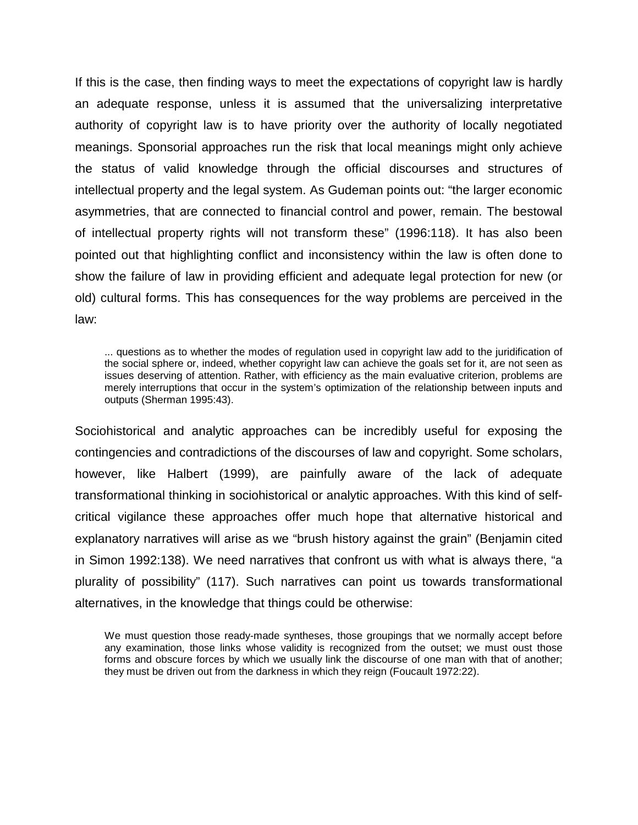If this is the case, then finding ways to meet the expectations of copyright law is hardly an adequate response, unless it is assumed that the universalizing interpretative authority of copyright law is to have priority over the authority of locally negotiated meanings. Sponsorial approaches run the risk that local meanings might only achieve the status of valid knowledge through the official discourses and structures of intellectual property and the legal system. As Gudeman points out: "the larger economic asymmetries, that are connected to financial control and power, remain. The bestowal of intellectual property rights will not transform these" (1996:118). It has also been pointed out that highlighting conflict and inconsistency within the law is often done to show the failure of law in providing efficient and adequate legal protection for new (or old) cultural forms. This has consequences for the way problems are perceived in the law:

... questions as to whether the modes of regulation used in copyright law add to the juridification of the social sphere or, indeed, whether copyright law can achieve the goals set for it, are not seen as issues deserving of attention. Rather, with efficiency as the main evaluative criterion, problems are merely interruptions that occur in the system's optimization of the relationship between inputs and outputs (Sherman 1995:43).

Sociohistorical and analytic approaches can be incredibly useful for exposing the contingencies and contradictions of the discourses of law and copyright. Some scholars, however, like Halbert (1999), are painfully aware of the lack of adequate transformational thinking in sociohistorical or analytic approaches. With this kind of selfcritical vigilance these approaches offer much hope that alternative historical and explanatory narratives will arise as we "brush history against the grain" (Benjamin cited in Simon 1992:138). We need narratives that confront us with what is always there, "a plurality of possibility" (117). Such narratives can point us towards transformational alternatives, in the knowledge that things could be otherwise:

We must question those ready-made syntheses, those groupings that we normally accept before any examination, those links whose validity is recognized from the outset; we must oust those forms and obscure forces by which we usually link the discourse of one man with that of another; they must be driven out from the darkness in which they reign (Foucault 1972:22).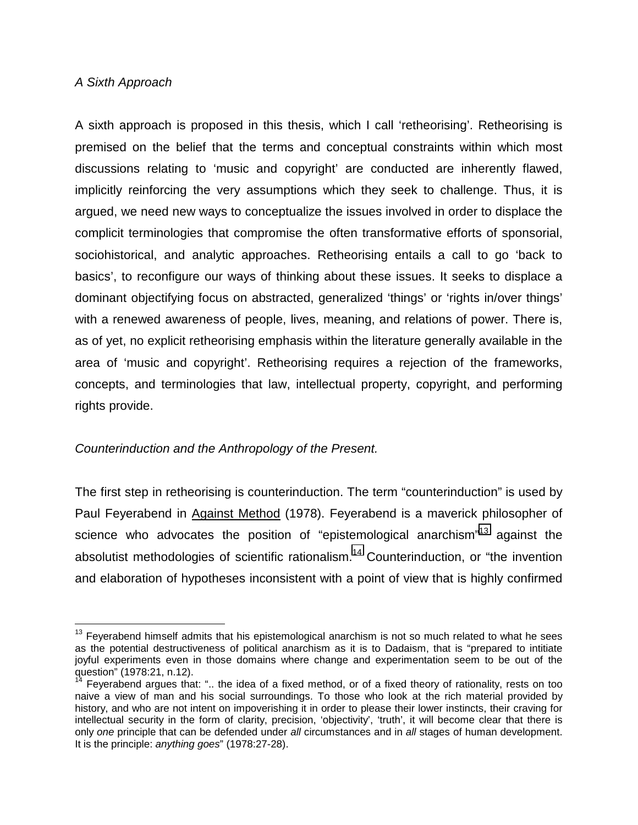### *A Sixth Approach*

 $\overline{a}$ 

A sixth approach is proposed in this thesis, which I call 'retheorising'. Retheorising is premised on the belief that the terms and conceptual constraints within which most discussions relating to 'music and copyright' are conducted are inherently flawed, implicitly reinforcing the very assumptions which they seek to challenge. Thus, it is argued, we need new ways to conceptualize the issues involved in order to displace the complicit terminologies that compromise the often transformative efforts of sponsorial, sociohistorical, and analytic approaches. Retheorising entails a call to go 'back to basics', to reconfigure our ways of thinking about these issues. It seeks to displace a dominant objectifying focus on abstracted, generalized 'things' or 'rights in/over things' with a renewed awareness of people, lives, meaning, and relations of power. There is, as of yet, no explicit retheorising emphasis within the literature generally available in the area of 'music and copyright'. Retheorising requires a rejection of the frameworks, concepts, and terminologies that law, intellectual property, copyright, and performing rights provide.

## *Counterinduction and the Anthropology of the Present.*

The first step in retheorising is counterinduction. The term "counterinduction" is used by Paul Feyerabend in Against Method (1978). Feyerabend is a maverick philosopher of science who advocates the position of "epistemological anarchism"<sup>13</sup> against the absolutist methodologies of scientific rationalism.<sup>14</sup> Counterinduction, or "the invention and elaboration of hypotheses inconsistent with a point of view that is highly confirmed

 $13$  Feyerabend himself admits that his epistemological anarchism is not so much related to what he sees as the potential destructiveness of political anarchism as it is to Dadaism, that is "prepared to intitiate joyful experiments even in those domains where change and experimentation seem to be out of the question" (1978:21, n.12).

 $14$  Feyerabend argues that: ".. the idea of a fixed method, or of a fixed theory of rationality, rests on too naive a view of man and his social surroundings. To those who look at the rich material provided by history, and who are not intent on impoverishing it in order to please their lower instincts, their craving for intellectual security in the form of clarity, precision, 'objectivity', 'truth', it will become clear that there is only *one* principle that can be defended under *all* circumstances and in *all* stages of human development. It is the principle: *anything goes*" (1978:27-28).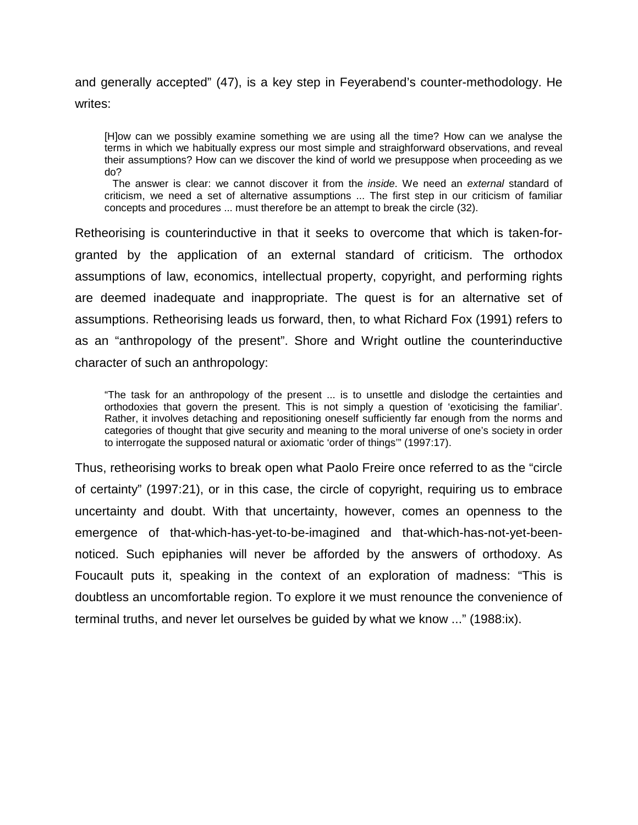and generally accepted" (47), is a key step in Feyerabend's counter-methodology. He writes:

[H]ow can we possibly examine something we are using all the time? How can we analyse the terms in which we habitually express our most simple and straighforward observations, and reveal their assumptions? How can we discover the kind of world we presuppose when proceeding as we do?

 The answer is clear: we cannot discover it from the *inside*. We need an *external* standard of criticism, we need a set of alternative assumptions ... The first step in our criticism of familiar concepts and procedures ... must therefore be an attempt to break the circle (32).

Retheorising is counterinductive in that it seeks to overcome that which is taken-forgranted by the application of an external standard of criticism. The orthodox assumptions of law, economics, intellectual property, copyright, and performing rights are deemed inadequate and inappropriate. The quest is for an alternative set of assumptions. Retheorising leads us forward, then, to what Richard Fox (1991) refers to as an "anthropology of the present". Shore and Wright outline the counterinductive character of such an anthropology:

"The task for an anthropology of the present ... is to unsettle and dislodge the certainties and orthodoxies that govern the present. This is not simply a question of 'exoticising the familiar'. Rather, it involves detaching and repositioning oneself sufficiently far enough from the norms and categories of thought that give security and meaning to the moral universe of one's society in order to interrogate the supposed natural or axiomatic 'order of things'" (1997:17).

Thus, retheorising works to break open what Paolo Freire once referred to as the "circle of certainty" (1997:21), or in this case, the circle of copyright, requiring us to embrace uncertainty and doubt. With that uncertainty, however, comes an openness to the emergence of that-which-has-yet-to-be-imagined and that-which-has-not-yet-beennoticed. Such epiphanies will never be afforded by the answers of orthodoxy. As Foucault puts it, speaking in the context of an exploration of madness: "This is doubtless an uncomfortable region. To explore it we must renounce the convenience of terminal truths, and never let ourselves be guided by what we know ..." (1988:ix).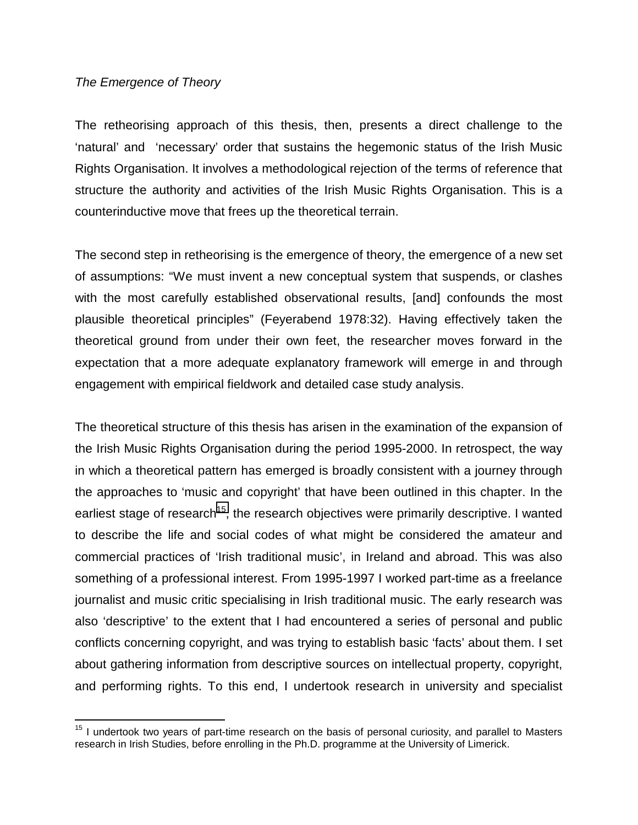### *The Emergence of Theory*

 $\overline{a}$ 

The retheorising approach of this thesis, then, presents a direct challenge to the 'natural' and 'necessary' order that sustains the hegemonic status of the Irish Music Rights Organisation. It involves a methodological rejection of the terms of reference that structure the authority and activities of the Irish Music Rights Organisation. This is a counterinductive move that frees up the theoretical terrain.

The second step in retheorising is the emergence of theory, the emergence of a new set of assumptions: "We must invent a new conceptual system that suspends, or clashes with the most carefully established observational results, [and] confounds the most plausible theoretical principles" (Feyerabend 1978:32). Having effectively taken the theoretical ground from under their own feet, the researcher moves forward in the expectation that a more adequate explanatory framework will emerge in and through engagement with empirical fieldwork and detailed case study analysis.

The theoretical structure of this thesis has arisen in the examination of the expansion of the Irish Music Rights Organisation during the period 1995-2000. In retrospect, the way in which a theoretical pattern has emerged is broadly consistent with a journey through the approaches to 'music and copyright' that have been outlined in this chapter. In the earliest stage of research<sup>15</sup>, the research objectives were primarily descriptive. I wanted to describe the life and social codes of what might be considered the amateur and commercial practices of 'Irish traditional music', in Ireland and abroad. This was also something of a professional interest. From 1995-1997 I worked part-time as a freelance journalist and music critic specialising in Irish traditional music. The early research was also 'descriptive' to the extent that I had encountered a series of personal and public conflicts concerning copyright, and was trying to establish basic 'facts' about them. I set about gathering information from descriptive sources on intellectual property, copyright, and performing rights. To this end, I undertook research in university and specialist

<sup>&</sup>lt;sup>15</sup> I undertook two years of part-time research on the basis of personal curiosity, and parallel to Masters research in Irish Studies, before enrolling in the Ph.D. programme at the University of Limerick.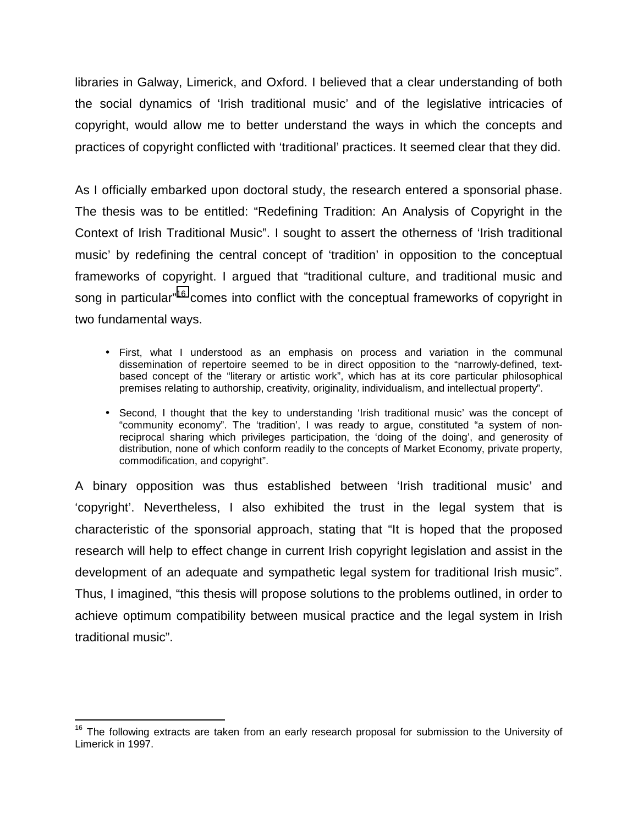libraries in Galway, Limerick, and Oxford. I believed that a clear understanding of both the social dynamics of 'Irish traditional music' and of the legislative intricacies of copyright, would allow me to better understand the ways in which the concepts and practices of copyright conflicted with 'traditional' practices. It seemed clear that they did.

As I officially embarked upon doctoral study, the research entered a sponsorial phase. The thesis was to be entitled: "Redefining Tradition: An Analysis of Copyright in the Context of Irish Traditional Music". I sought to assert the otherness of 'Irish traditional music' by redefining the central concept of 'tradition' in opposition to the conceptual frameworks of copyright. I argued that "traditional culture, and traditional music and song in particular<sup>"16</sup> comes into conflict with the conceptual frameworks of copyright in two fundamental ways.

- First, what I understood as an emphasis on process and variation in the communal dissemination of repertoire seemed to be in direct opposition to the "narrowly-defined, textbased concept of the "literary or artistic work", which has at its core particular philosophical premises relating to authorship, creativity, originality, individualism, and intellectual property".
- Second, I thought that the key to understanding 'Irish traditional music' was the concept of "community economy". The 'tradition', I was ready to argue, constituted "a system of nonreciprocal sharing which privileges participation, the 'doing of the doing', and generosity of distribution, none of which conform readily to the concepts of Market Economy, private property, commodification, and copyright".

A binary opposition was thus established between 'Irish traditional music' and 'copyright'. Nevertheless, I also exhibited the trust in the legal system that is characteristic of the sponsorial approach, stating that "It is hoped that the proposed research will help to effect change in current Irish copyright legislation and assist in the development of an adequate and sympathetic legal system for traditional Irish music". Thus, I imagined, "this thesis will propose solutions to the problems outlined, in order to achieve optimum compatibility between musical practice and the legal system in Irish traditional music".

 $\overline{a}$ 

 $16$  The following extracts are taken from an early research proposal for submission to the University of Limerick in 1997.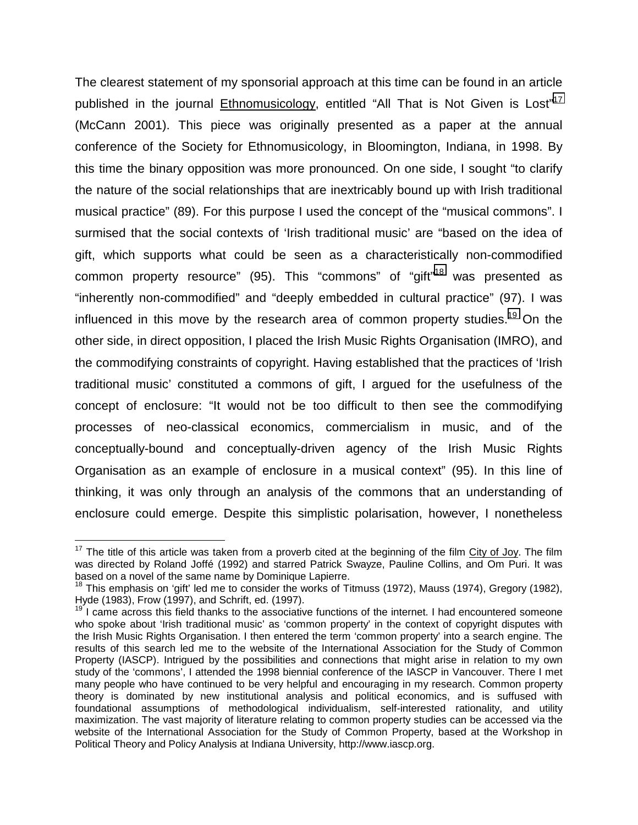The clearest statement of my sponsorial approach at this time can be found in an article published in the journal Ethnomusicology, entitled "All That is Not Given is Lost"<sup>17</sup> (McCann 2001). This piece was originally presented as a paper at the annual conference of the Society for Ethnomusicology, in Bloomington, Indiana, in 1998. By this time the binary opposition was more pronounced. On one side, I sought "to clarify the nature of the social relationships that are inextricably bound up with Irish traditional musical practice" (89). For this purpose I used the concept of the "musical commons". I surmised that the social contexts of 'Irish traditional music' are "based on the idea of gift, which supports what could be seen as a characteristically non-commodified common property resource" (95). This "commons" of "gift"18 was presented as "inherently non-commodified" and "deeply embedded in cultural practice" (97). I was influenced in this move by the research area of common property studies.<sup>19</sup> On the other side, in direct opposition, I placed the Irish Music Rights Organisation (IMRO), and the commodifying constraints of copyright. Having established that the practices of 'Irish traditional music' constituted a commons of gift, I argued for the usefulness of the concept of enclosure: "It would not be too difficult to then see the commodifying processes of neo-classical economics, commercialism in music, and of the conceptually-bound and conceptually-driven agency of the Irish Music Rights Organisation as an example of enclosure in a musical context" (95). In this line of thinking, it was only through an analysis of the commons that an understanding of enclosure could emerge. Despite this simplistic polarisation, however, I nonetheless

1

 $17$  The title of this article was taken from a proverb cited at the beginning of the film City of Joy. The film was directed by Roland Joffé (1992) and starred Patrick Swayze, Pauline Collins, and Om Puri. It was based on a novel of the same name by Dominique Lapierre.

<sup>&</sup>lt;sup>18</sup> This emphasis on 'gift' led me to consider the works of Titmuss (1972), Mauss (1974), Gregory (1982), Hyde (1983), Frow (1997), and Schrift, ed. (1997).

 $19<sup>19</sup>$  I came across this field thanks to the associative functions of the internet. I had encountered someone who spoke about 'Irish traditional music' as 'common property' in the context of copyright disputes with the Irish Music Rights Organisation. I then entered the term 'common property' into a search engine. The results of this search led me to the website of the International Association for the Study of Common Property (IASCP). Intrigued by the possibilities and connections that might arise in relation to my own study of the 'commons', I attended the 1998 biennial conference of the IASCP in Vancouver. There I met many people who have continued to be very helpful and encouraging in my research. Common property theory is dominated by new institutional analysis and political economics, and is suffused with foundational assumptions of methodological individualism, self-interested rationality, and utility maximization. The vast majority of literature relating to common property studies can be accessed via the website of the International Association for the Study of Common Property, based at the Workshop in Political Theory and Policy Analysis at Indiana University, http://www.iascp.org.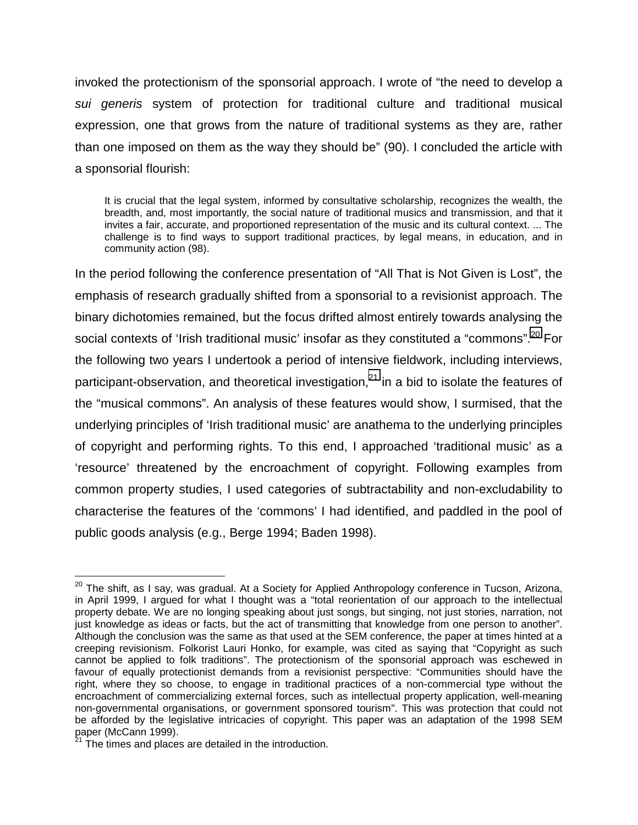invoked the protectionism of the sponsorial approach. I wrote of "the need to develop a *sui generis* system of protection for traditional culture and traditional musical expression, one that grows from the nature of traditional systems as they are, rather than one imposed on them as the way they should be" (90). I concluded the article with a sponsorial flourish:

It is crucial that the legal system, informed by consultative scholarship, recognizes the wealth, the breadth, and, most importantly, the social nature of traditional musics and transmission, and that it invites a fair, accurate, and proportioned representation of the music and its cultural context. ... The challenge is to find ways to support traditional practices, by legal means, in education, and in community action (98).

In the period following the conference presentation of "All That is Not Given is Lost", the emphasis of research gradually shifted from a sponsorial to a revisionist approach. The binary dichotomies remained, but the focus drifted almost entirely towards analysing the social contexts of 'Irish traditional music' insofar as they constituted a "commons".<sup>20</sup> For the following two years I undertook a period of intensive fieldwork, including interviews, participant-observation, and theoretical investigation, $^{21}$  in a bid to isolate the features of the "musical commons". An analysis of these features would show, I surmised, that the underlying principles of 'Irish traditional music' are anathema to the underlying principles of copyright and performing rights. To this end, I approached 'traditional music' as a 'resource' threatened by the encroachment of copyright. Following examples from common property studies, I used categories of subtractability and non-excludability to characterise the features of the 'commons' I had identified, and paddled in the pool of public goods analysis (e.g., Berge 1994; Baden 1998).

1

<sup>&</sup>lt;sup>20</sup> The shift, as I say, was gradual. At a Society for Applied Anthropology conference in Tucson, Arizona, in April 1999, I argued for what I thought was a "total reorientation of our approach to the intellectual property debate. We are no longing speaking about just songs, but singing, not just stories, narration, not just knowledge as ideas or facts, but the act of transmitting that knowledge from one person to another". Although the conclusion was the same as that used at the SEM conference, the paper at times hinted at a creeping revisionism. Folkorist Lauri Honko, for example, was cited as saying that "Copyright as such cannot be applied to folk traditions". The protectionism of the sponsorial approach was eschewed in favour of equally protectionist demands from a revisionist perspective: "Communities should have the right, where they so choose, to engage in traditional practices of a non-commercial type without the encroachment of commercializing external forces, such as intellectual property application, well-meaning non-governmental organisations, or government sponsored tourism". This was protection that could not be afforded by the legislative intricacies of copyright. This paper was an adaptation of the 1998 SEM paper (McCann 1999).

The times and places are detailed in the introduction.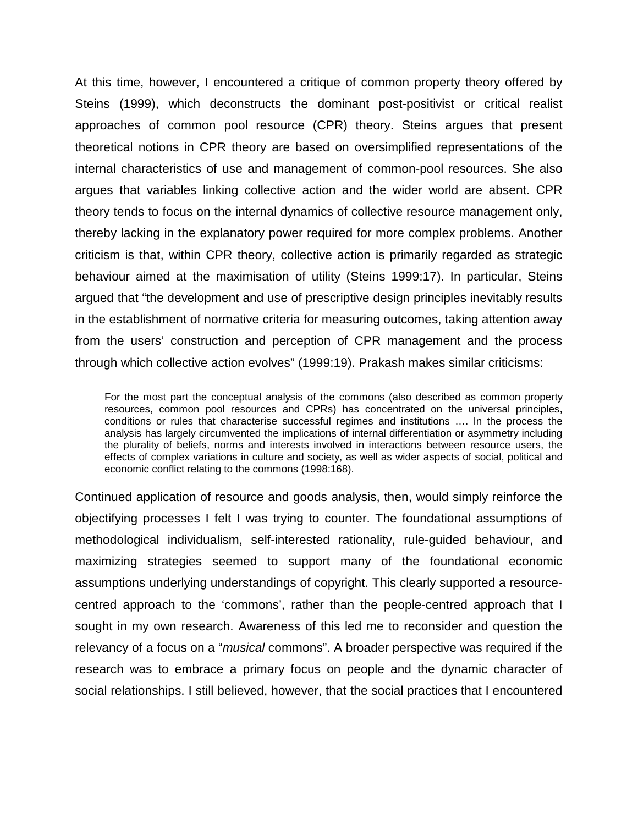At this time, however, I encountered a critique of common property theory offered by Steins (1999), which deconstructs the dominant post-positivist or critical realist approaches of common pool resource (CPR) theory. Steins argues that present theoretical notions in CPR theory are based on oversimplified representations of the internal characteristics of use and management of common-pool resources. She also argues that variables linking collective action and the wider world are absent. CPR theory tends to focus on the internal dynamics of collective resource management only, thereby lacking in the explanatory power required for more complex problems. Another criticism is that, within CPR theory, collective action is primarily regarded as strategic behaviour aimed at the maximisation of utility (Steins 1999:17). In particular, Steins argued that "the development and use of prescriptive design principles inevitably results in the establishment of normative criteria for measuring outcomes, taking attention away from the users' construction and perception of CPR management and the process through which collective action evolves" (1999:19). Prakash makes similar criticisms:

For the most part the conceptual analysis of the commons (also described as common property resources, common pool resources and CPRs) has concentrated on the universal principles, conditions or rules that characterise successful regimes and institutions …. In the process the analysis has largely circumvented the implications of internal differentiation or asymmetry including the plurality of beliefs, norms and interests involved in interactions between resource users, the effects of complex variations in culture and society, as well as wider aspects of social, political and economic conflict relating to the commons (1998:168).

Continued application of resource and goods analysis, then, would simply reinforce the objectifying processes I felt I was trying to counter. The foundational assumptions of methodological individualism, self-interested rationality, rule-guided behaviour, and maximizing strategies seemed to support many of the foundational economic assumptions underlying understandings of copyright. This clearly supported a resourcecentred approach to the 'commons', rather than the people-centred approach that I sought in my own research. Awareness of this led me to reconsider and question the relevancy of a focus on a "*musical* commons". A broader perspective was required if the research was to embrace a primary focus on people and the dynamic character of social relationships. I still believed, however, that the social practices that I encountered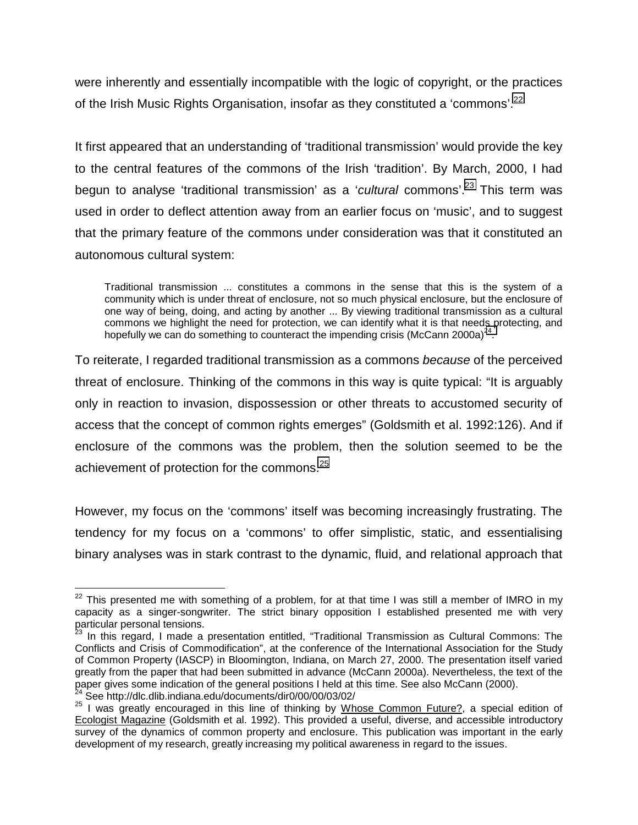were inherently and essentially incompatible with the logic of copyright, or the practices of the Irish Music Rights Organisation, insofar as they constituted a 'commons'.<sup>22</sup>

It first appeared that an understanding of 'traditional transmission' would provide the key to the central features of the commons of the Irish 'tradition'. By March, 2000, I had begun to analyse 'traditional transmission' as a '*cultural* commons'.23 This term was used in order to deflect attention away from an earlier focus on 'music', and to suggest that the primary feature of the commons under consideration was that it constituted an autonomous cultural system:

Traditional transmission ... constitutes a commons in the sense that this is the system of a community which is under threat of enclosure, not so much physical enclosure, but the enclosure of one way of being, doing, and acting by another ... By viewing traditional transmission as a cultural commons we highlight the need for protection, we can identify what it is that needs protecting, and hopefully we can do something to counteract the impending crisis (McCann 2000a)<sup>24</sup>.

To reiterate, I regarded traditional transmission as a commons *because* of the perceived threat of enclosure. Thinking of the commons in this way is quite typical: "It is arguably only in reaction to invasion, dispossession or other threats to accustomed security of access that the concept of common rights emerges" (Goldsmith et al. 1992:126). And if enclosure of the commons was the problem, then the solution seemed to be the achievement of protection for the commons.<sup>25</sup>

However, my focus on the 'commons' itself was becoming increasingly frustrating. The tendency for my focus on a 'commons' to offer simplistic, static, and essentialising binary analyses was in stark contrast to the dynamic, fluid, and relational approach that

 $\overline{a}$ 

 $^{22}$  This presented me with something of a problem, for at that time I was still a member of IMRO in my capacity as a singer-songwriter. The strict binary opposition I established presented me with very particular personal tensions.

 $3$  In this regard, I made a presentation entitled, "Traditional Transmission as Cultural Commons: The Conflicts and Crisis of Commodification", at the conference of the International Association for the Study of Common Property (IASCP) in Bloomington, Indiana, on March 27, 2000. The presentation itself varied greatly from the paper that had been submitted in advance (McCann 2000a). Nevertheless, the text of the paper gives some indication of the general positions I held at this time. See also McCann (2000).

<sup>&</sup>lt;sup>24</sup> See http://dlc.dlib.indiana.edu/documents/dir0/00/00/03/02/<br><sup>25</sup> I was greatly encouraged in this line of thinking by <u>Whose Common Future?,</u> a special edition of Ecologist Magazine (Goldsmith et al. 1992). This provided a useful, diverse, and accessible introductory survey of the dynamics of common property and enclosure. This publication was important in the early development of my research, greatly increasing my political awareness in regard to the issues.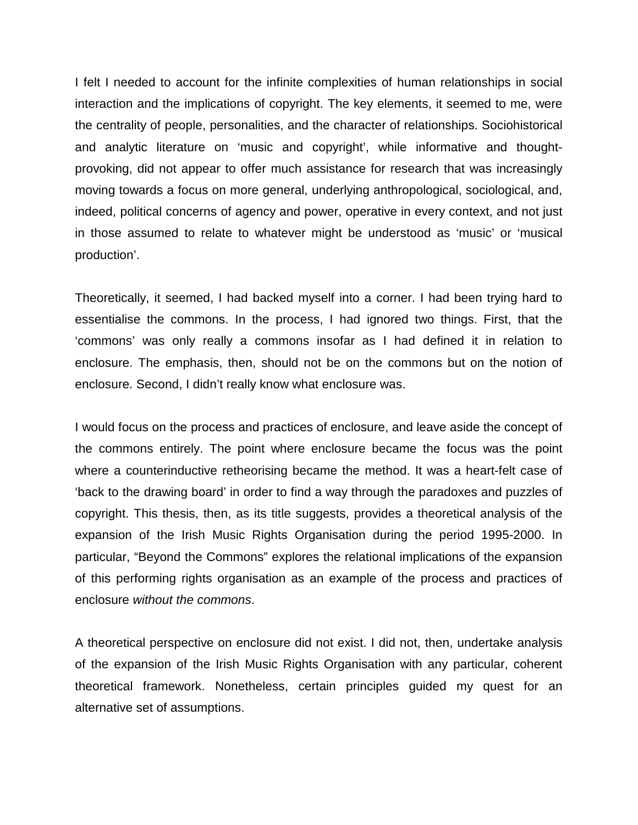I felt I needed to account for the infinite complexities of human relationships in social interaction and the implications of copyright. The key elements, it seemed to me, were the centrality of people, personalities, and the character of relationships. Sociohistorical and analytic literature on 'music and copyright', while informative and thoughtprovoking, did not appear to offer much assistance for research that was increasingly moving towards a focus on more general, underlying anthropological, sociological, and, indeed, political concerns of agency and power, operative in every context, and not just in those assumed to relate to whatever might be understood as 'music' or 'musical production'.

Theoretically, it seemed, I had backed myself into a corner. I had been trying hard to essentialise the commons. In the process, I had ignored two things. First, that the 'commons' was only really a commons insofar as I had defined it in relation to enclosure. The emphasis, then, should not be on the commons but on the notion of enclosure. Second, I didn't really know what enclosure was.

I would focus on the process and practices of enclosure, and leave aside the concept of the commons entirely. The point where enclosure became the focus was the point where a counterinductive retheorising became the method. It was a heart-felt case of 'back to the drawing board' in order to find a way through the paradoxes and puzzles of copyright. This thesis, then, as its title suggests, provides a theoretical analysis of the expansion of the Irish Music Rights Organisation during the period 1995-2000. In particular, "Beyond the Commons" explores the relational implications of the expansion of this performing rights organisation as an example of the process and practices of enclosure *without the commons*.

A theoretical perspective on enclosure did not exist. I did not, then, undertake analysis of the expansion of the Irish Music Rights Organisation with any particular, coherent theoretical framework. Nonetheless, certain principles guided my quest for an alternative set of assumptions.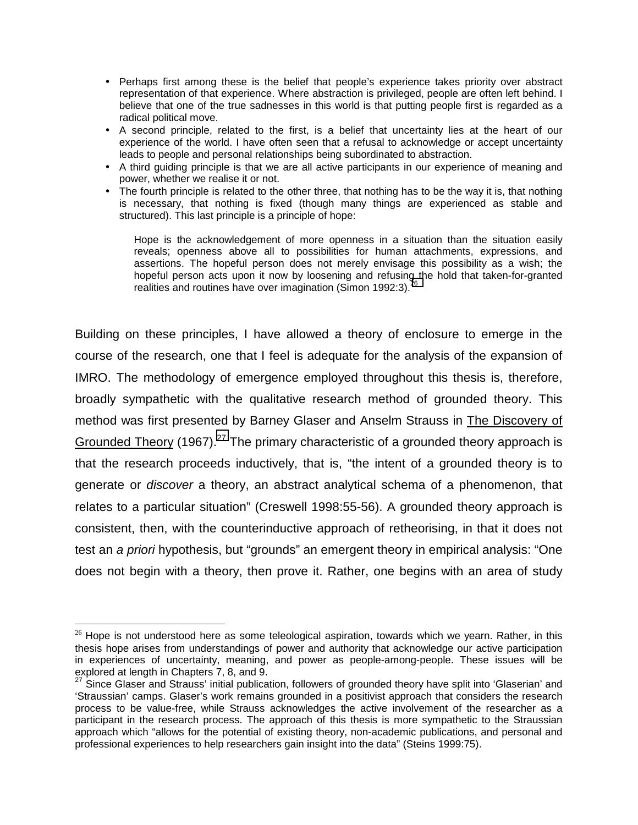- Perhaps first among these is the belief that people's experience takes priority over abstract representation of that experience. Where abstraction is privileged, people are often left behind. I believe that one of the true sadnesses in this world is that putting people first is regarded as a radical political move.
- A second principle, related to the first, is a belief that uncertainty lies at the heart of our experience of the world. I have often seen that a refusal to acknowledge or accept uncertainty leads to people and personal relationships being subordinated to abstraction.
- A third guiding principle is that we are all active participants in our experience of meaning and power, whether we realise it or not.
- The fourth principle is related to the other three, that nothing has to be the way it is, that nothing is necessary, that nothing is fixed (though many things are experienced as stable and structured). This last principle is a principle of hope:

Hope is the acknowledgement of more openness in a situation than the situation easily reveals; openness above all to possibilities for human attachments, expressions, and assertions. The hopeful person does not merely envisage this possibility as a wish; the hopeful person acts upon it now by loosening and refusing the hold that taken-for-granted realities and routines have over imagination (Simon 1992:3).<sup>2</sup>

Building on these principles, I have allowed a theory of enclosure to emerge in the course of the research, one that I feel is adequate for the analysis of the expansion of IMRO. The methodology of emergence employed throughout this thesis is, therefore, broadly sympathetic with the qualitative research method of grounded theory. This method was first presented by Barney Glaser and Anselm Strauss in The Discovery of Grounded Theory (1967).<sup>27</sup> The primary characteristic of a grounded theory approach is that the research proceeds inductively, that is, "the intent of a grounded theory is to generate or *discover* a theory, an abstract analytical schema of a phenomenon, that relates to a particular situation" (Creswell 1998:55-56). A grounded theory approach is consistent, then, with the counterinductive approach of retheorising, in that it does not test an *a priori* hypothesis, but "grounds" an emergent theory in empirical analysis: "One does not begin with a theory, then prove it. Rather, one begins with an area of study

1

 $26$  Hope is not understood here as some teleological aspiration, towards which we yearn. Rather, in this thesis hope arises from understandings of power and authority that acknowledge our active participation in experiences of uncertainty, meaning, and power as people-among-people. These issues will be explored at length in Chapters 7, 8, and 9.

<sup>&</sup>lt;sup>27</sup> Since Glaser and Strauss' initial publication, followers of grounded theory have split into 'Glaserian' and 'Straussian' camps. Glaser's work remains grounded in a positivist approach that considers the research process to be value-free, while Strauss acknowledges the active involvement of the researcher as a participant in the research process. The approach of this thesis is more sympathetic to the Straussian approach which "allows for the potential of existing theory, non-academic publications, and personal and professional experiences to help researchers gain insight into the data" (Steins 1999:75).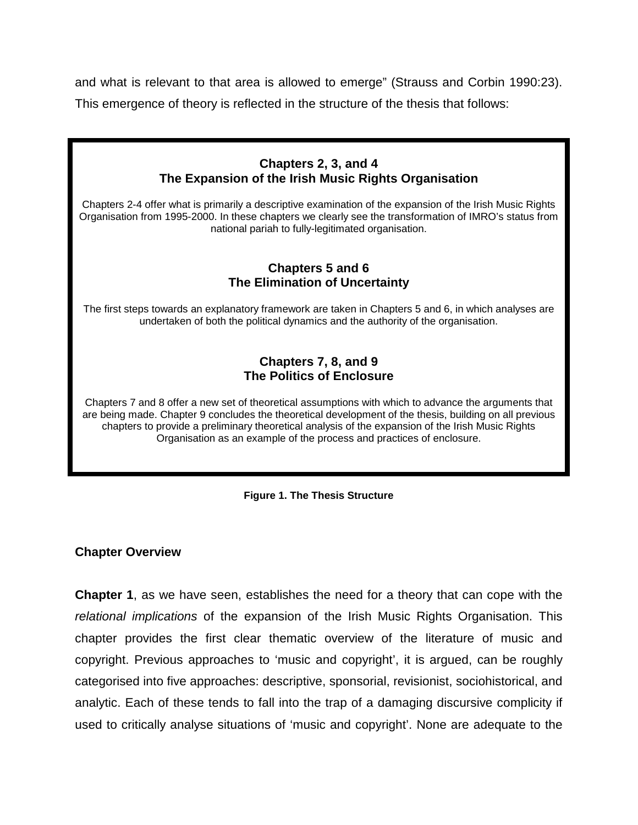and what is relevant to that area is allowed to emerge" (Strauss and Corbin 1990:23). This emergence of theory is reflected in the structure of the thesis that follows:

# **Chapters 2, 3, and 4 The Expansion of the Irish Music Rights Organisation**

Chapters 2-4 offer what is primarily a descriptive examination of the expansion of the Irish Music Rights Organisation from 1995-2000. In these chapters we clearly see the transformation of IMRO's status from national pariah to fully-legitimated organisation.

### **Chapters 5 and 6 The Elimination of Uncertainty**

The first steps towards an explanatory framework are taken in Chapters 5 and 6, in which analyses are undertaken of both the political dynamics and the authority of the organisation.

## **Chapters 7, 8, and 9 The Politics of Enclosure**

Chapters 7 and 8 offer a new set of theoretical assumptions with which to advance the arguments that are being made. Chapter 9 concludes the theoretical development of the thesis, building on all previous chapters to provide a preliminary theoretical analysis of the expansion of the Irish Music Rights Organisation as an example of the process and practices of enclosure.

### **Figure 1. The Thesis Structure**

### **Chapter Overview**

**Chapter 1**, as we have seen, establishes the need for a theory that can cope with the *relational implications* of the expansion of the Irish Music Rights Organisation. This chapter provides the first clear thematic overview of the literature of music and copyright. Previous approaches to 'music and copyright', it is argued, can be roughly categorised into five approaches: descriptive, sponsorial, revisionist, sociohistorical, and analytic. Each of these tends to fall into the trap of a damaging discursive complicity if used to critically analyse situations of 'music and copyright'. None are adequate to the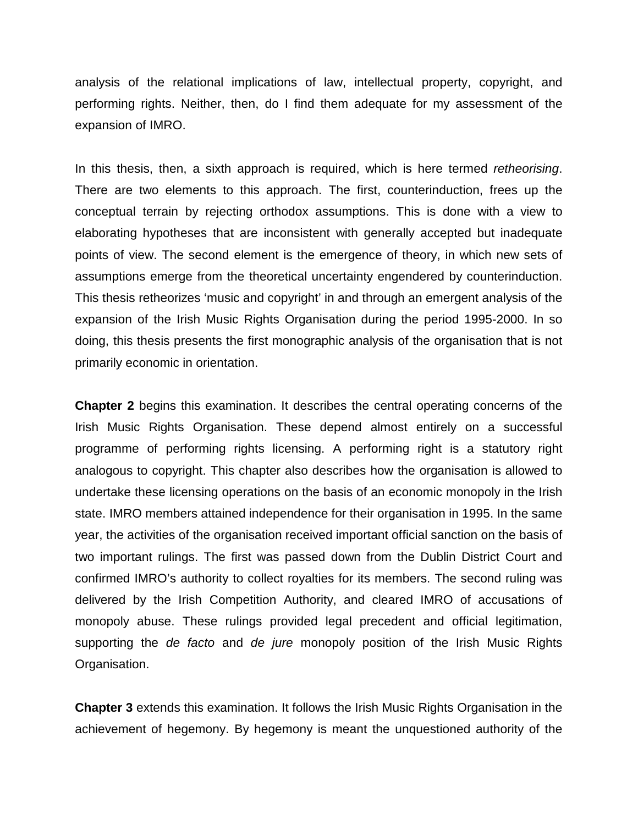analysis of the relational implications of law, intellectual property, copyright, and performing rights. Neither, then, do I find them adequate for my assessment of the expansion of IMRO.

In this thesis, then, a sixth approach is required, which is here termed *retheorising*. There are two elements to this approach. The first, counterinduction, frees up the conceptual terrain by rejecting orthodox assumptions. This is done with a view to elaborating hypotheses that are inconsistent with generally accepted but inadequate points of view. The second element is the emergence of theory, in which new sets of assumptions emerge from the theoretical uncertainty engendered by counterinduction. This thesis retheorizes 'music and copyright' in and through an emergent analysis of the expansion of the Irish Music Rights Organisation during the period 1995-2000. In so doing, this thesis presents the first monographic analysis of the organisation that is not primarily economic in orientation.

**Chapter 2** begins this examination. It describes the central operating concerns of the Irish Music Rights Organisation. These depend almost entirely on a successful programme of performing rights licensing. A performing right is a statutory right analogous to copyright. This chapter also describes how the organisation is allowed to undertake these licensing operations on the basis of an economic monopoly in the Irish state. IMRO members attained independence for their organisation in 1995. In the same year, the activities of the organisation received important official sanction on the basis of two important rulings. The first was passed down from the Dublin District Court and confirmed IMRO's authority to collect royalties for its members. The second ruling was delivered by the Irish Competition Authority, and cleared IMRO of accusations of monopoly abuse. These rulings provided legal precedent and official legitimation, supporting the *de facto* and *de jure* monopoly position of the Irish Music Rights Organisation.

**Chapter 3** extends this examination. It follows the Irish Music Rights Organisation in the achievement of hegemony. By hegemony is meant the unquestioned authority of the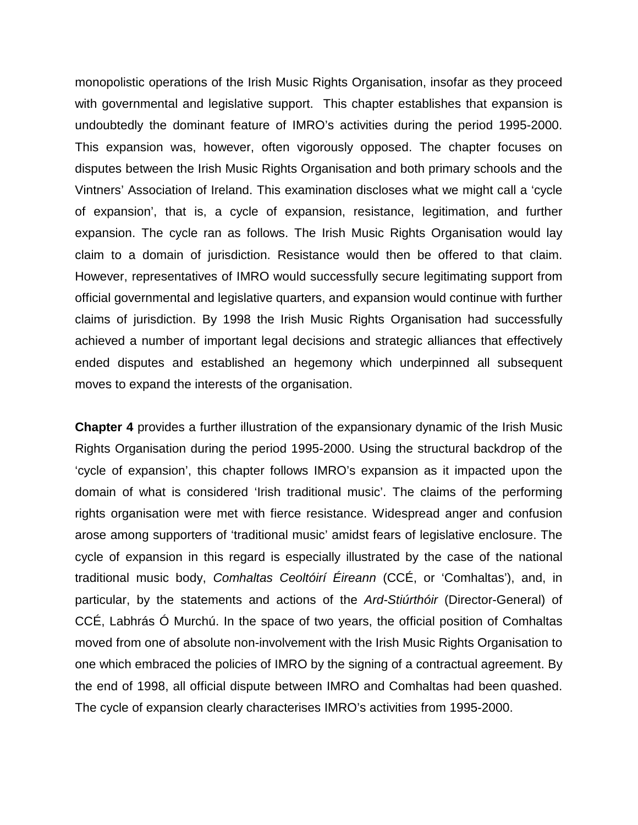monopolistic operations of the Irish Music Rights Organisation, insofar as they proceed with governmental and legislative support. This chapter establishes that expansion is undoubtedly the dominant feature of IMRO's activities during the period 1995-2000. This expansion was, however, often vigorously opposed. The chapter focuses on disputes between the Irish Music Rights Organisation and both primary schools and the Vintners' Association of Ireland. This examination discloses what we might call a 'cycle of expansion', that is, a cycle of expansion, resistance, legitimation, and further expansion. The cycle ran as follows. The Irish Music Rights Organisation would lay claim to a domain of jurisdiction. Resistance would then be offered to that claim. However, representatives of IMRO would successfully secure legitimating support from official governmental and legislative quarters, and expansion would continue with further claims of jurisdiction. By 1998 the Irish Music Rights Organisation had successfully achieved a number of important legal decisions and strategic alliances that effectively ended disputes and established an hegemony which underpinned all subsequent moves to expand the interests of the organisation.

**Chapter 4** provides a further illustration of the expansionary dynamic of the Irish Music Rights Organisation during the period 1995-2000. Using the structural backdrop of the 'cycle of expansion', this chapter follows IMRO's expansion as it impacted upon the domain of what is considered 'Irish traditional music'. The claims of the performing rights organisation were met with fierce resistance. Widespread anger and confusion arose among supporters of 'traditional music' amidst fears of legislative enclosure. The cycle of expansion in this regard is especially illustrated by the case of the national traditional music body, *Comhaltas Ceoltóirí Éireann* (CCÉ, or 'Comhaltas'), and, in particular, by the statements and actions of the *Ard-Stiúrthóir* (Director-General) of CCÉ, Labhrás Ó Murchú. In the space of two years, the official position of Comhaltas moved from one of absolute non-involvement with the Irish Music Rights Organisation to one which embraced the policies of IMRO by the signing of a contractual agreement. By the end of 1998, all official dispute between IMRO and Comhaltas had been quashed. The cycle of expansion clearly characterises IMRO's activities from 1995-2000.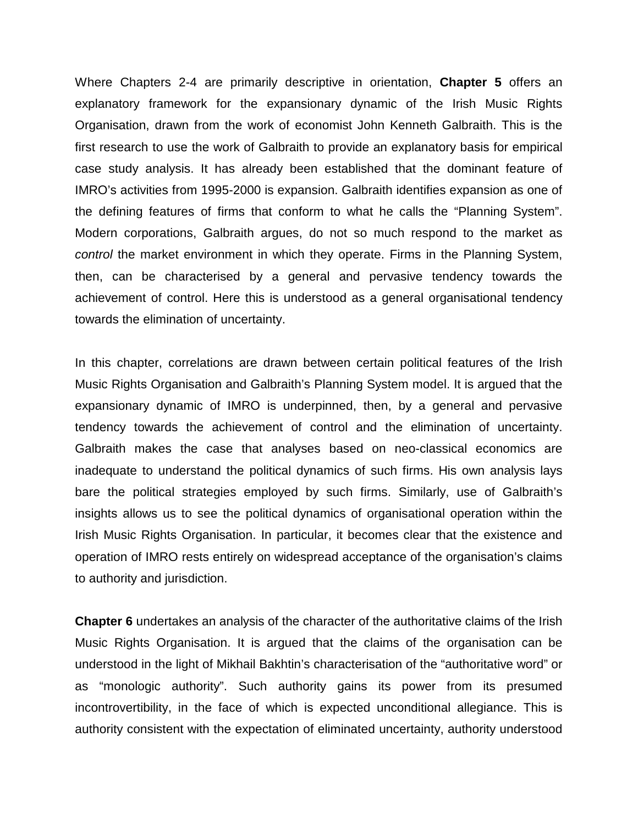Where Chapters 2-4 are primarily descriptive in orientation, **Chapter 5** offers an explanatory framework for the expansionary dynamic of the Irish Music Rights Organisation, drawn from the work of economist John Kenneth Galbraith. This is the first research to use the work of Galbraith to provide an explanatory basis for empirical case study analysis. It has already been established that the dominant feature of IMRO's activities from 1995-2000 is expansion. Galbraith identifies expansion as one of the defining features of firms that conform to what he calls the "Planning System". Modern corporations, Galbraith argues, do not so much respond to the market as *control* the market environment in which they operate. Firms in the Planning System, then, can be characterised by a general and pervasive tendency towards the achievement of control. Here this is understood as a general organisational tendency towards the elimination of uncertainty.

In this chapter, correlations are drawn between certain political features of the Irish Music Rights Organisation and Galbraith's Planning System model. It is argued that the expansionary dynamic of IMRO is underpinned, then, by a general and pervasive tendency towards the achievement of control and the elimination of uncertainty. Galbraith makes the case that analyses based on neo-classical economics are inadequate to understand the political dynamics of such firms. His own analysis lays bare the political strategies employed by such firms. Similarly, use of Galbraith's insights allows us to see the political dynamics of organisational operation within the Irish Music Rights Organisation. In particular, it becomes clear that the existence and operation of IMRO rests entirely on widespread acceptance of the organisation's claims to authority and jurisdiction.

**Chapter 6** undertakes an analysis of the character of the authoritative claims of the Irish Music Rights Organisation. It is argued that the claims of the organisation can be understood in the light of Mikhail Bakhtin's characterisation of the "authoritative word" or as "monologic authority". Such authority gains its power from its presumed incontrovertibility, in the face of which is expected unconditional allegiance. This is authority consistent with the expectation of eliminated uncertainty, authority understood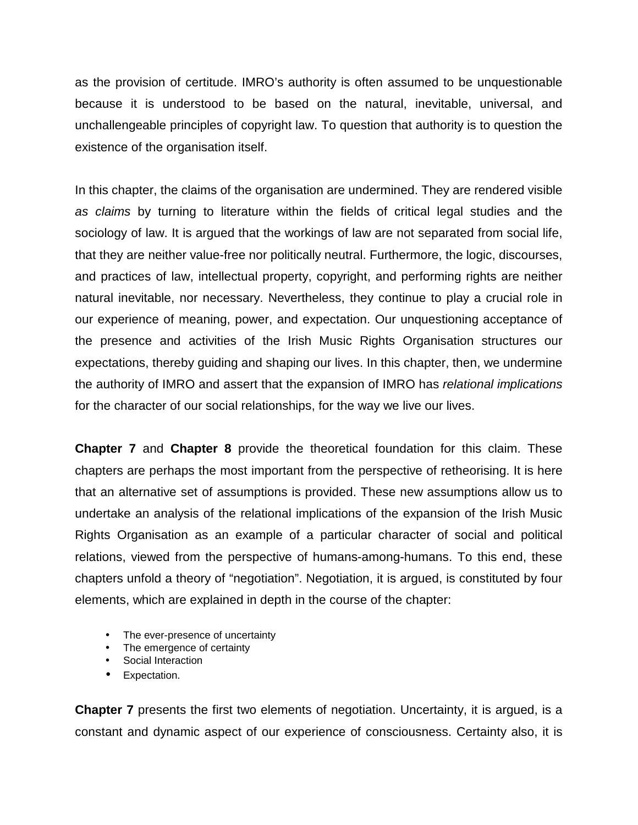as the provision of certitude. IMRO's authority is often assumed to be unquestionable because it is understood to be based on the natural, inevitable, universal, and unchallengeable principles of copyright law. To question that authority is to question the existence of the organisation itself.

In this chapter, the claims of the organisation are undermined. They are rendered visible *as claims* by turning to literature within the fields of critical legal studies and the sociology of law. It is argued that the workings of law are not separated from social life, that they are neither value-free nor politically neutral. Furthermore, the logic, discourses, and practices of law, intellectual property, copyright, and performing rights are neither natural inevitable, nor necessary. Nevertheless, they continue to play a crucial role in our experience of meaning, power, and expectation. Our unquestioning acceptance of the presence and activities of the Irish Music Rights Organisation structures our expectations, thereby guiding and shaping our lives. In this chapter, then, we undermine the authority of IMRO and assert that the expansion of IMRO has *relational implications*  for the character of our social relationships, for the way we live our lives.

**Chapter 7** and **Chapter 8** provide the theoretical foundation for this claim. These chapters are perhaps the most important from the perspective of retheorising. It is here that an alternative set of assumptions is provided. These new assumptions allow us to undertake an analysis of the relational implications of the expansion of the Irish Music Rights Organisation as an example of a particular character of social and political relations, viewed from the perspective of humans-among-humans. To this end, these chapters unfold a theory of "negotiation". Negotiation, it is argued, is constituted by four elements, which are explained in depth in the course of the chapter:

- The ever-presence of uncertainty
- The emergence of certainty
- Social Interaction
- Expectation.

**Chapter 7** presents the first two elements of negotiation. Uncertainty, it is argued, is a constant and dynamic aspect of our experience of consciousness. Certainty also, it is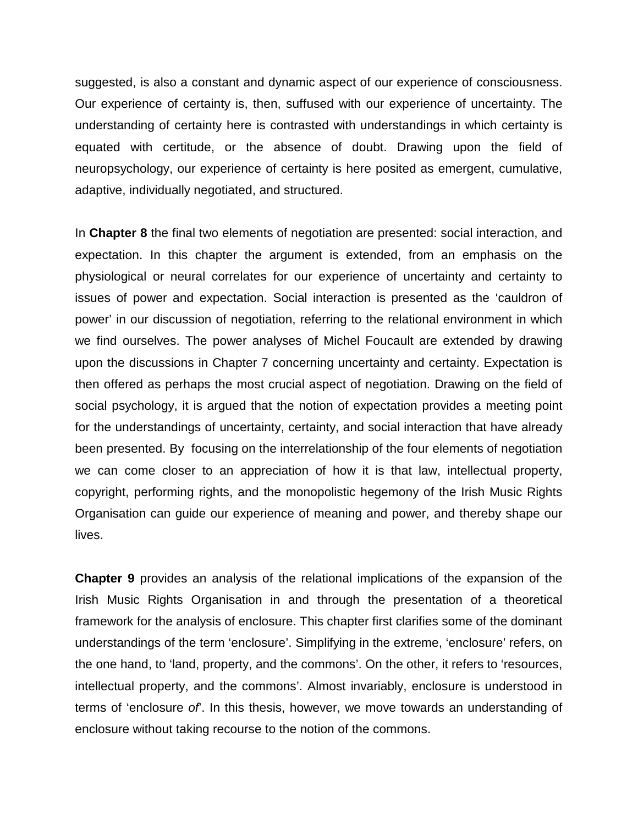suggested, is also a constant and dynamic aspect of our experience of consciousness. Our experience of certainty is, then, suffused with our experience of uncertainty. The understanding of certainty here is contrasted with understandings in which certainty is equated with certitude, or the absence of doubt. Drawing upon the field of neuropsychology, our experience of certainty is here posited as emergent, cumulative, adaptive, individually negotiated, and structured.

In **Chapter 8** the final two elements of negotiation are presented: social interaction, and expectation. In this chapter the argument is extended, from an emphasis on the physiological or neural correlates for our experience of uncertainty and certainty to issues of power and expectation. Social interaction is presented as the 'cauldron of power' in our discussion of negotiation, referring to the relational environment in which we find ourselves. The power analyses of Michel Foucault are extended by drawing upon the discussions in Chapter 7 concerning uncertainty and certainty. Expectation is then offered as perhaps the most crucial aspect of negotiation. Drawing on the field of social psychology, it is argued that the notion of expectation provides a meeting point for the understandings of uncertainty, certainty, and social interaction that have already been presented. By focusing on the interrelationship of the four elements of negotiation we can come closer to an appreciation of how it is that law, intellectual property, copyright, performing rights, and the monopolistic hegemony of the Irish Music Rights Organisation can guide our experience of meaning and power, and thereby shape our lives.

**Chapter 9** provides an analysis of the relational implications of the expansion of the Irish Music Rights Organisation in and through the presentation of a theoretical framework for the analysis of enclosure. This chapter first clarifies some of the dominant understandings of the term 'enclosure'. Simplifying in the extreme, 'enclosure' refers, on the one hand, to 'land, property, and the commons'. On the other, it refers to 'resources, intellectual property, and the commons'. Almost invariably, enclosure is understood in terms of 'enclosure *of*'. In this thesis, however, we move towards an understanding of enclosure without taking recourse to the notion of the commons.